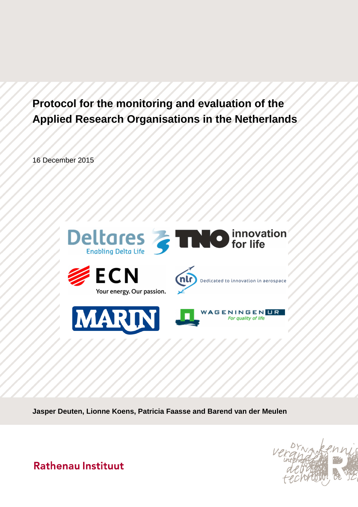# **Protocol for the monitoring and evaluation of the Applied Research Organisations in the Netherlands**

16 December 2015



**Jasper Deuten, Lionne Koens, Patricia Faasse and Barend van der Meulen**



**Rathenau Instituut**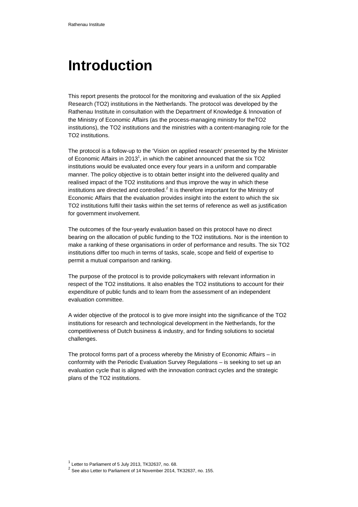# **Introduction**

This report presents the protocol for the monitoring and evaluation of the six Applied Research (TO2) institutions in the Netherlands. The protocol was developed by the Rathenau Institute in consultation with the Department of Knowledge & Innovation of the Ministry of Economic Affairs (as the process-managing ministry for theTO2 institutions), the TO2 institutions and the ministries with a content-managing role for the TO2 institutions.

The protocol is a follow-up to the 'Vision on applied research' presented by the Minister of Economic Affairs in 2013<sup>1</sup>, in which the cabinet announced that the six TO2 institutions would be evaluated once every four years in a uniform and comparable manner. The policy objective is to obtain better insight into the delivered quality and realised impact of the TO2 institutions and thus improve the way in which these institutions are directed and controlled.<sup>2</sup> It is therefore important for the Ministry of Economic Affairs that the evaluation provides insight into the extent to which the six TO2 institutions fulfil their tasks within the set terms of reference as well as justification for government involvement.

The outcomes of the four-yearly evaluation based on this protocol have no direct bearing on the allocation of public funding to the TO2 institutions. Nor is the intention to make a ranking of these organisations in order of performance and results. The six TO2 institutions differ too much in terms of tasks, scale, scope and field of expertise to permit a mutual comparison and ranking.

The purpose of the protocol is to provide policymakers with relevant information in respect of the TO2 institutions. It also enables the TO2 institutions to account for their expenditure of public funds and to learn from the assessment of an independent evaluation committee.

A wider objective of the protocol is to give more insight into the significance of the TO2 institutions for research and technological development in the Netherlands, for the competitiveness of Dutch business & industry, and for finding solutions to societal challenges.

The protocol forms part of a process whereby the Ministry of Economic Affairs – in conformity with the Periodic Evaluation Survey Regulations – is seeking to set up an evaluation cycle that is aligned with the innovation contract cycles and the strategic plans of the TO2 institutions.

 $<sup>1</sup>$  Letter to Parliament of 5 July 2013, TK32637, no. 68.</sup>

<sup>&</sup>lt;sup>2</sup> See also Letter to Parliament of 14 November 2014, TK32637, no. 155.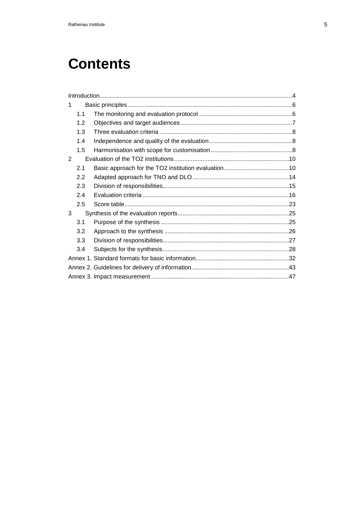# **Contents**

| 1 |     |  |  |
|---|-----|--|--|
|   | 1.1 |  |  |
|   | 1.2 |  |  |
|   | 1.3 |  |  |
|   | 1.4 |  |  |
|   | 1.5 |  |  |
| 2 |     |  |  |
|   | 2.1 |  |  |
|   | 2.2 |  |  |
|   | 2.3 |  |  |
|   | 2.4 |  |  |
|   | 2.5 |  |  |
| 3 |     |  |  |
|   | 3.1 |  |  |
|   | 3.2 |  |  |
|   | 3.3 |  |  |
|   | 3.4 |  |  |
|   |     |  |  |
|   |     |  |  |
|   |     |  |  |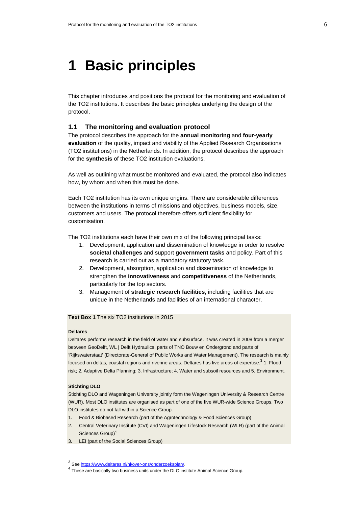# **1 Basic principles**

This chapter introduces and positions the protocol for the monitoring and evaluation of the TO2 institutions. It describes the basic principles underlying the design of the protocol.

# **1.1 The monitoring and evaluation protocol**

The protocol describes the approach for the **annual monitoring** and **four-yearly evaluation** of the quality, impact and viability of the Applied Research Organisations (TO2 institutions) in the Netherlands. In addition, the protocol describes the approach for the **synthesis** of these TO2 institution evaluations.

As well as outlining what must be monitored and evaluated, the protocol also indicates how, by whom and when this must be done.

Each TO2 institution has its own unique origins. There are considerable differences between the institutions in terms of missions and objectives, business models, size, customers and users. The protocol therefore offers sufficient flexibility for customisation.

The TO2 institutions each have their own mix of the following principal tasks:

- 1. Development, application and dissemination of knowledge in order to resolve **societal challenges** and support **government tasks** and policy. Part of this research is carried out as a mandatory statutory task.
- 2. Development, absorption, application and dissemination of knowledge to strengthen the **innovativeness** and **competitiveness** of the Netherlands, particularly for the top sectors.
- 3. Management of **strategic research facilities,** including facilities that are unique in the Netherlands and facilities of an international character.

**Text Box 1** The six TO2 institutions in 2015

#### **Deltares**

Deltares performs research in the field of water and subsurface. It was created in 2008 from a merger between GeoDelft, WL | Delft Hydraulics, parts of TNO Bouw en Ondergrond and parts of 'Rijkswaterstaat' (Directorate-General of Public Works and Water Management). The research is mainly focused on deltas, coastal regions and riverine areas. Deltares has five areas of expertise: $^3$  1. Flood risk; 2. Adaptive Delta Planning; 3. Infrastructure; 4. Water and subsoil resources and 5. Environment.

#### **Stichting DLO**

Stichting DLO and Wageningen University jointly form the Wageningen University & Research Centre (WUR). Most DLO institutes are organised as part of one of the five WUR-wide Science Groups. Two DLO institutes do not fall within a Science Group.

- 1. Food & Biobased Research (part of the Agrotechnology & Food Sciences Group)
- 2. Central Veterinary Institute (CVI) and Wageningen Lifestock Research (WLR) (part of the Animal Sciences Group)<sup>4</sup>
- 3. LEI (part of the Social Sciences Group)

<sup>&</sup>lt;sup>3</sup> See https://www.deltares.nl/nl/over-ons/onderzoeksplan/.

<sup>&</sup>lt;sup>4</sup> These are basically two business units under the DLO institute Animal Science Group.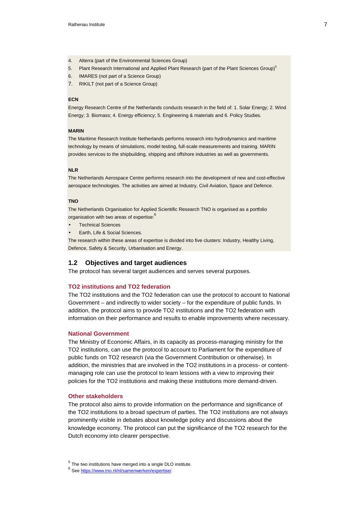- 4. Alterra (part of the Environmental Sciences Group)
- 5. Plant Research International and Applied Plant Research (part of the Plant Sciences Group)<sup>5</sup>
- 6. IMARES (not part of a Science Group)
- 7. RIKILT (not part of a Science Group)

#### **ECN**

Energy Research Centre of the Netherlands conducts research in the field of: 1. Solar Energy; 2. Wind Energy; 3. Biomass; 4. Energy efficiency; 5. Engineering & materials and 6. Policy Studies.

#### **MARIN**

The Maritime Research Institute Netherlands performs research into hydrodynamics and maritime technology by means of simulations, model testing, full-scale measurements and training. MARIN provides services to the shipbuilding, shipping and offshore industries as well as governments.

#### **NLR**

The Netherlands Aerospace Centre performs research into the development of new and cost-effective aerospace technologies. The activities are aimed at Industry, Civil Aviation, Space and Defence.

#### **TNO**

The Netherlands Organisation for Applied Scientific Research TNO is organised as a portfolio organisation with two areas of expertise:<sup>6</sup>

- Technical Sciences
- Earth, Life & Social Sciences.

The research within these areas of expertise is divided into five clusters: Industry, Healthy Living, Defence, Safety & Security, Urbanisation and Energy.

## **1.2 Objectives and target audiences**

The protocol has several target audiences and serves several purposes.

## **TO2 institutions and TO2 federation**

The TO2 institutions and the TO2 federation can use the protocol to account to National Government – and indirectly to wider society – for the expenditure of public funds. In addition, the protocol aims to provide TO2 institutions and the TO2 federation with information on their performance and results to enable improvements where necessary.

#### **National Government**

The Ministry of Economic Affairs, in its capacity as process-managing ministry for the TO2 institutions, can use the protocol to account to Parliament for the expenditure of public funds on TO2 research (via the Government Contribution or otherwise). In addition, the ministries that are involved in the TO2 institutions in a process- or contentmanaging role can use the protocol to learn lessons with a view to improving their policies for the TO2 institutions and making these institutions more demand-driven.

#### **Other stakeholders**

The protocol also aims to provide information on the performance and significance of the TO2 institutions to a broad spectrum of parties. The TO2 institutions are not always prominently visible in debates about knowledge policy and discussions about the knowledge economy. The protocol can put the significance of the TO2 research for the Dutch economy into clearer perspective.

 $<sup>5</sup>$  The two institutions have merged into a single DLO institute.</sup>

<sup>6</sup> See https://www.tno.nl/nl/samenwerken/expertise/.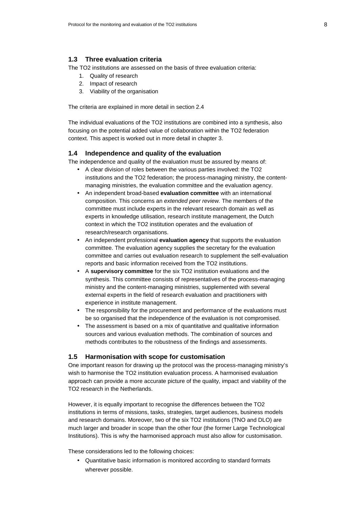# **1.3 Three evaluation criteria**

The TO2 institutions are assessed on the basis of three evaluation criteria:

- 1. Quality of research
- 2. Impact of research
- 3. Viability of the organisation

The criteria are explained in more detail in section 2.4

The individual evaluations of the TO2 institutions are combined into a synthesis, also focusing on the potential added value of collaboration within the TO2 federation context. This aspect is worked out in more detail in chapter 3.

## **1.4 Independence and quality of the evaluation**

The independence and quality of the evaluation must be assured by means of:

- A clear division of roles between the various parties involved: the TO2 institutions and the TO2 federation; the process-managing ministry, the contentmanaging ministries, the evaluation committee and the evaluation agency.
- An independent broad-based **evaluation committee** with an international composition. This concerns an extended peer review. The members of the committee must include experts in the relevant research domain as well as experts in knowledge utilisation, research institute management, the Dutch context in which the TO2 institution operates and the evaluation of research/research organisations.
- An independent professional **evaluation agency** that supports the evaluation committee. The evaluation agency supplies the secretary for the evaluation committee and carries out evaluation research to supplement the self-evaluation reports and basic information received from the TO2 institutions.
- A **supervisory committee** for the six TO2 institution evaluations and the synthesis. This committee consists of representatives of the process-managing ministry and the content-managing ministries, supplemented with several external experts in the field of research evaluation and practitioners with experience in institute management.
- The responsibility for the procurement and performance of the evaluations must be so organised that the independence of the evaluation is not compromised.
- The assessment is based on a mix of quantitative and qualitative information sources and various evaluation methods. The combination of sources and methods contributes to the robustness of the findings and assessments.

### **1.5 Harmonisation with scope for customisation**

One important reason for drawing up the protocol was the process-managing ministry's wish to harmonise the TO2 institution evaluation process. A harmonised evaluation approach can provide a more accurate picture of the quality, impact and viability of the TO2 research in the Netherlands.

However, it is equally important to recognise the differences between the TO2 institutions in terms of missions, tasks, strategies, target audiences, business models and research domains. Moreover, two of the six TO2 institutions (TNO and DLO) are much larger and broader in scope than the other four (the former Large Technological Institutions). This is why the harmonised approach must also allow for customisation.

These considerations led to the following choices:

• Quantitative basic information is monitored according to standard formats wherever possible.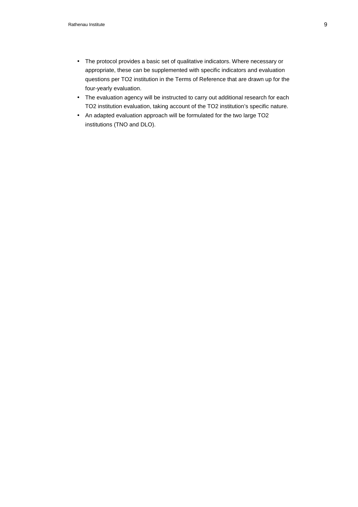- The protocol provides a basic set of qualitative indicators. Where necessary or appropriate, these can be supplemented with specific indicators and evaluation questions per TO2 institution in the Terms of Reference that are drawn up for the four-yearly evaluation.
- The evaluation agency will be instructed to carry out additional research for each TO2 institution evaluation, taking account of the TO2 institution's specific nature.
- An adapted evaluation approach will be formulated for the two large TO2 institutions (TNO and DLO).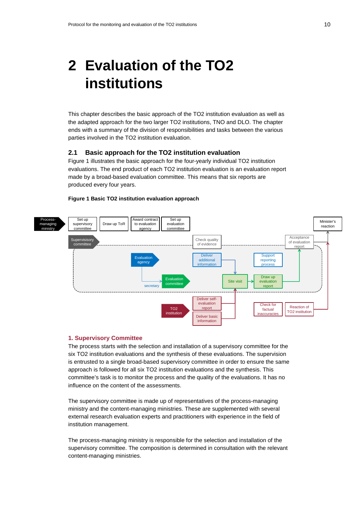# **2 Evaluation of the TO2 institutions**

This chapter describes the basic approach of the TO2 institution evaluation as well as the adapted approach for the two larger TO2 institutions, TNO and DLO. The chapter ends with a summary of the division of responsibilities and tasks between the various parties involved in the TO2 institution evaluation.

# **2.1 Basic approach for the TO2 institution evaluation**

Figure 1 illustrates the basic approach for the four-yearly individual TO2 institution evaluations. The end product of each TO2 institution evaluation is an evaluation report made by a broad-based evaluation committee. This means that six reports are produced every four years.

#### **Figure 1 Basic TO2 institution evaluation approach**



## **1. Supervisory Committee**

The process starts with the selection and installation of a supervisory committee for the six TO2 institution evaluations and the synthesis of these evaluations. The supervision is entrusted to a single broad-based supervisory committee in order to ensure the same approach is followed for all six TO2 institution evaluations and the synthesis. This committee's task is to monitor the process and the quality of the evaluations. It has no influence on the content of the assessments.

The supervisory committee is made up of representatives of the process-managing ministry and the content-managing ministries. These are supplemented with several external research evaluation experts and practitioners with experience in the field of institution management.

The process-managing ministry is responsible for the selection and installation of the supervisory committee. The composition is determined in consultation with the relevant content-managing ministries.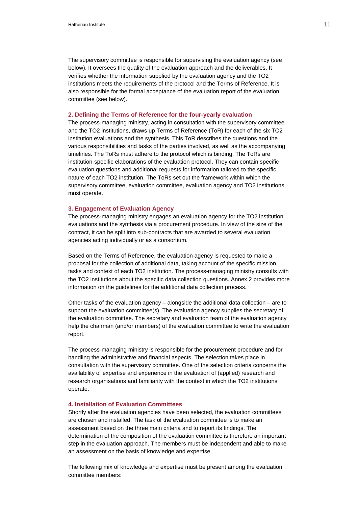The supervisory committee is responsible for supervising the evaluation agency (see below). It oversees the quality of the evaluation approach and the deliverables. It verifies whether the information supplied by the evaluation agency and the TO2 institutions meets the requirements of the protocol and the Terms of Reference. It is also responsible for the formal acceptance of the evaluation report of the evaluation committee (see below).

### **2. Defining the Terms of Reference for the four-yearly evaluation**

The process-managing ministry, acting in consultation with the supervisory committee and the TO2 institutions, draws up Terms of Reference (ToR) for each of the six TO2 institution evaluations and the synthesis. This ToR describes the questions and the various responsibilities and tasks of the parties involved, as well as the accompanying timelines. The ToRs must adhere to the protocol which is binding. The ToRs are institution-specific elaborations of the evaluation protocol. They can contain specific evaluation questions and additional requests for information tailored to the specific nature of each TO2 institution. The ToRs set out the framework within which the supervisory committee, evaluation committee, evaluation agency and TO2 institutions must operate.

#### **3. Engagement of Evaluation Agency**

The process-managing ministry engages an evaluation agency for the TO2 institution evaluations and the synthesis via a procurement procedure. In view of the size of the contract, it can be split into sub-contracts that are awarded to several evaluation agencies acting individually or as a consortium.

Based on the Terms of Reference, the evaluation agency is requested to make a proposal for the collection of additional data, taking account of the specific mission, tasks and context of each TO2 institution. The process-managing ministry consults with the TO2 institutions about the specific data collection questions. Annex 2 provides more information on the guidelines for the additional data collection process.

Other tasks of the evaluation agency – alongside the additional data collection – are to support the evaluation committee(s). The evaluation agency supplies the secretary of the evaluation committee. The secretary and evaluation team of the evaluation agency help the chairman (and/or members) of the evaluation committee to write the evaluation report.

The process-managing ministry is responsible for the procurement procedure and for handling the administrative and financial aspects. The selection takes place in consultation with the supervisory committee. One of the selection criteria concerns the availability of expertise and experience in the evaluation of (applied) research and research organisations and familiarity with the context in which the TO2 institutions operate.

## **4. Installation of Evaluation Committees**

Shortly after the evaluation agencies have been selected, the evaluation committees are chosen and installed. The task of the evaluation committee is to make an assessment based on the three main criteria and to report its findings. The determination of the composition of the evaluation committee is therefore an important step in the evaluation approach. The members must be independent and able to make an assessment on the basis of knowledge and expertise.

The following mix of knowledge and expertise must be present among the evaluation committee members: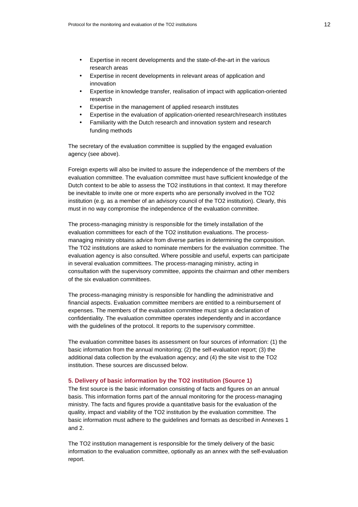- Expertise in recent developments and the state-of-the-art in the various research areas
- Expertise in recent developments in relevant areas of application and innovation
- Expertise in knowledge transfer, realisation of impact with application-oriented research
- Expertise in the management of applied research institutes
- Expertise in the evaluation of application-oriented research/research institutes
- Familiarity with the Dutch research and innovation system and research funding methods

The secretary of the evaluation committee is supplied by the engaged evaluation agency (see above).

Foreign experts will also be invited to assure the independence of the members of the evaluation committee. The evaluation committee must have sufficient knowledge of the Dutch context to be able to assess the TO2 institutions in that context. It may therefore be inevitable to invite one or more experts who are personally involved in the TO2 institution (e.g. as a member of an advisory council of the TO2 institution). Clearly, this must in no way compromise the independence of the evaluation committee.

The process-managing ministry is responsible for the timely installation of the evaluation committees for each of the TO2 institution evaluations. The processmanaging ministry obtains advice from diverse parties in determining the composition. The TO2 institutions are asked to nominate members for the evaluation committee. The evaluation agency is also consulted. Where possible and useful, experts can participate in several evaluation committees. The process-managing ministry, acting in consultation with the supervisory committee, appoints the chairman and other members of the six evaluation committees.

The process-managing ministry is responsible for handling the administrative and financial aspects. Evaluation committee members are entitled to a reimbursement of expenses. The members of the evaluation committee must sign a declaration of confidentiality. The evaluation committee operates independently and in accordance with the guidelines of the protocol. It reports to the supervisory committee.

The evaluation committee bases its assessment on four sources of information: (1) the basic information from the annual monitoring; (2) the self-evaluation report; (3) the additional data collection by the evaluation agency; and (4) the site visit to the TO2 institution. These sources are discussed below.

# **5. Delivery of basic information by the TO2 institution (Source 1)**

The first source is the basic information consisting of facts and figures on an annual basis. This information forms part of the annual monitoring for the process-managing ministry. The facts and figures provide a quantitative basis for the evaluation of the quality, impact and viability of the TO2 institution by the evaluation committee. The basic information must adhere to the guidelines and formats as described in Annexes 1 and 2.

The TO2 institution management is responsible for the timely delivery of the basic information to the evaluation committee, optionally as an annex with the self-evaluation report.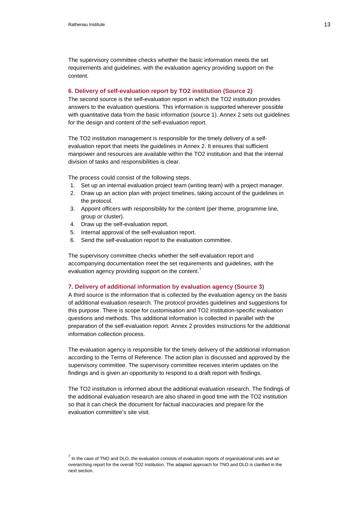The supervisory committee checks whether the basic information meets the set requirements and guidelines, with the evaluation agency providing support on the content.

## **6. Delivery of self-evaluation report by TO2 institution (Source 2)**

The second source is the self-evaluation report in which the TO2 institution provides answers to the evaluation questions. This information is supported wherever possible with quantitative data from the basic information (source 1). Annex 2 sets out guidelines for the design and content of the self-evaluation report.

The TO2 institution management is responsible for the timely delivery of a selfevaluation report that meets the guidelines in Annex 2. It ensures that sufficient manpower and resources are available within the TO2 institution and that the internal division of tasks and responsibilities is clear.

The process could consist of the following steps.

- 1. Set up an internal evaluation project team (writing team) with a project manager.
- 2. Draw up an action plan with project timelines, taking account of the guidelines in the protocol.
- 3. Appoint officers with responsibility for the content (per theme, programme line, group or cluster).
- 4. Draw up the self-evaluation report.
- 5. Internal approval of the self-evaluation report.
- 6. Send the self-evaluation report to the evaluation committee.

The supervisory committee checks whether the self-evaluation report and accompanying documentation meet the set requirements and guidelines, with the evaluation agency providing support on the content.

## **7. Delivery of additional information by evaluation agency (Source 3)**

A third source is the information that is collected by the evaluation agency on the basis of additional evaluation research. The protocol provides guidelines and suggestions for this purpose. There is scope for customisation and TO2 institution-specific evaluation questions and methods. This additional information is collected in parallel with the preparation of the self-evaluation report. Annex 2 provides instructions for the additional information collection process.

The evaluation agency is responsible for the timely delivery of the additional information according to the Terms of Reference. The action plan is discussed and approved by the supervisory committee. The supervisory committee receives interim updates on the findings and is given an opportunity to respond to a draft report with findings.

The TO2 institution is informed about the additional evaluation research. The findings of the additional evaluation research are also shared in good time with the TO2 institution so that it can check the document for factual inaccuracies and prepare for the evaluation committee's site visit.

<sup>7</sup> In the case of TNO and DLO, the evaluation consists of evaluation reports of organisational units and an overarching report for the overall TO2 institution. The adapted approach for TNO and DLO is clarified in the next section.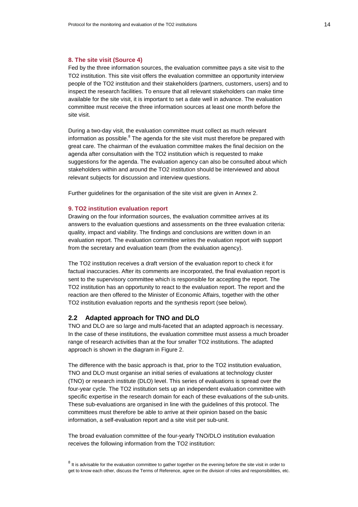#### **8. The site visit (Source 4)**

Fed by the three information sources, the evaluation committee pays a site visit to the TO2 institution. This site visit offers the evaluation committee an opportunity interview people of the TO2 institution and their stakeholders (partners, customers, users) and to inspect the research facilities. To ensure that all relevant stakeholders can make time available for the site visit, it is important to set a date well in advance. The evaluation committee must receive the three information sources at least one month before the site visit.

During a two-day visit, the evaluation committee must collect as much relevant information as possible. $8$  The agenda for the site visit must therefore be prepared with great care. The chairman of the evaluation committee makes the final decision on the agenda after consultation with the TO2 institution which is requested to make suggestions for the agenda. The evaluation agency can also be consulted about which stakeholders within and around the TO2 institution should be interviewed and about relevant subjects for discussion and interview questions.

Further guidelines for the organisation of the site visit are given in Annex 2.

## **9. TO2 institution evaluation report**

Drawing on the four information sources, the evaluation committee arrives at its answers to the evaluation questions and assessments on the three evaluation criteria: quality, impact and viability. The findings and conclusions are written down in an evaluation report. The evaluation committee writes the evaluation report with support from the secretary and evaluation team (from the evaluation agency).

The TO2 institution receives a draft version of the evaluation report to check it for factual inaccuracies. After its comments are incorporated, the final evaluation report is sent to the supervisory committee which is responsible for accepting the report. The TO2 institution has an opportunity to react to the evaluation report. The report and the reaction are then offered to the Minister of Economic Affairs, together with the other TO2 institution evaluation reports and the synthesis report (see below).

# **2.2 Adapted approach for TNO and DLO**

TNO and DLO are so large and multi-faceted that an adapted approach is necessary. In the case of these institutions, the evaluation committee must assess a much broader range of research activities than at the four smaller TO2 institutions. The adapted approach is shown in the diagram in Figure 2.

The difference with the basic approach is that, prior to the TO2 institution evaluation, TNO and DLO must organise an initial series of evaluations at technology cluster (TNO) or research institute (DLO) level. This series of evaluations is spread over the four-year cycle. The TO2 institution sets up an independent evaluation committee with specific expertise in the research domain for each of these evaluations of the sub-units. These sub-evaluations are organised in line with the guidelines of this protocol. The committees must therefore be able to arrive at their opinion based on the basic information, a self-evaluation report and a site visit per sub-unit.

The broad evaluation committee of the four-yearly TNO/DLO institution evaluation receives the following information from the TO2 institution:

 $8$  It is advisable for the evaluation committee to gather together on the evening before the site visit in order to get to know each other, discuss the Terms of Reference, agree on the division of roles and responsibilities, etc.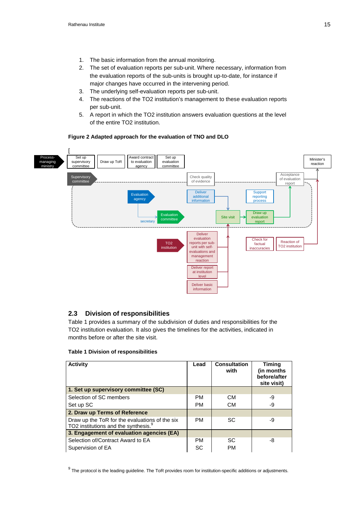- 1. The basic information from the annual monitoring.
- 2. The set of evaluation reports per sub-unit. Where necessary, information from the evaluation reports of the sub-units is brought up-to-date, for instance if major changes have occurred in the intervening period.
- 3. The underlying self-evaluation reports per sub-unit.
- 4. The reactions of the TO2 institution's management to these evaluation reports per sub-unit.
- 5. A report in which the TO2 institution answers evaluation questions at the level of the entire TO2 institution.

# **Figure 2 Adapted approach for the evaluation of TNO and DLO**



# **2.3 Division of responsibilities**

Table 1 provides a summary of the subdivision of duties and responsibilities for the TO2 institution evaluation. It also gives the timelines for the activities, indicated in months before or after the site visit.

| <b>Activity</b>                                                                                    | Lead      | <b>Consultation</b><br>with | <b>Timing</b><br>(in months)<br>before/after<br>site visit) |
|----------------------------------------------------------------------------------------------------|-----------|-----------------------------|-------------------------------------------------------------|
| 1. Set up supervisory committee (SC)                                                               |           |                             |                                                             |
| Selection of SC members                                                                            | <b>PM</b> | <b>CM</b>                   | -9                                                          |
| Set up SC                                                                                          | <b>PM</b> | <b>CM</b>                   | -9                                                          |
| 2. Draw up Terms of Reference                                                                      |           |                             |                                                             |
| Draw up the ToR for the evaluations of the six<br>TO2 institutions and the synthesis. <sup>9</sup> | <b>PM</b> | SC                          | -9                                                          |
| 3. Engagement of evaluation agencies (EA)                                                          |           |                             |                                                             |
| Selection of/Contract Award to EA                                                                  | <b>PM</b> | SC                          | -8                                                          |
| Supervision of EA                                                                                  | SC        | <b>PM</b>                   |                                                             |

# **Table 1 Division of responsibilities**

 $^9$  The protocol is the leading guideline. The ToR provides room for institution-specific additions or adjustments.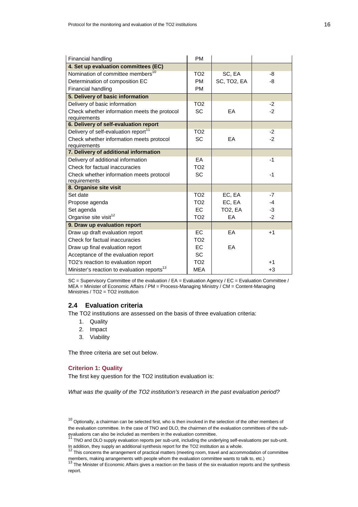| Financial handling                                      | <b>PM</b>       |                      |      |
|---------------------------------------------------------|-----------------|----------------------|------|
| 4. Set up evaluation committees (EC)                    |                 |                      |      |
| Nomination of committee members <sup>10</sup>           | TO <sub>2</sub> | SC, EA               | -8   |
| Determination of composition EC                         | <b>PM</b>       | SC, TO2, EA          | -8   |
| Financial handling                                      | <b>PM</b>       |                      |      |
| 5. Delivery of basic information                        |                 |                      |      |
| Delivery of basic information                           | TO <sub>2</sub> |                      | $-2$ |
| Check whether information meets the protocol            | <b>SC</b>       | EA                   | $-2$ |
| requirements                                            |                 |                      |      |
| 6. Delivery of self-evaluation report                   |                 |                      |      |
| Delivery of self-evaluation report <sup>11</sup>        | TO <sub>2</sub> |                      | $-2$ |
| Check whether information meets protocol                | <b>SC</b>       | EA                   | $-2$ |
| requirements                                            |                 |                      |      |
| 7. Delivery of additional information                   |                 |                      |      |
| Delivery of additional information                      | EA              |                      | $-1$ |
| Check for factual inaccuracies                          | TO <sub>2</sub> |                      |      |
| Check whether information meets protocol                | <b>SC</b>       |                      | $-1$ |
| requirements                                            |                 |                      |      |
| 8. Organise site visit                                  |                 |                      |      |
| Set date                                                | TO <sub>2</sub> | EC, EA               | $-7$ |
| Propose agenda                                          | TO <sub>2</sub> | EC, EA               | $-4$ |
| Set agenda                                              | EC.             | TO <sub>2</sub> , EA | -3   |
| Organise site visit <sup>12</sup>                       | TO <sub>2</sub> | EA                   | $-2$ |
| 9. Draw up evaluation report                            |                 |                      |      |
| Draw up draft evaluation report                         | EC.             | EA                   | $+1$ |
| Check for factual inaccuracies                          | TO <sub>2</sub> |                      |      |
| Draw up final evaluation report                         | <b>EC</b>       | EA                   |      |
| Acceptance of the evaluation report                     | <b>SC</b>       |                      |      |
| TO2's reaction to evaluation report                     | TO <sub>2</sub> |                      | $+1$ |
| Minister's reaction to evaluation reports <sup>13</sup> | <b>MEA</b>      |                      | $+3$ |

SC = Supervisory Committee of the evaluation /  $EA =$  Evaluation Agency /  $EC =$  Evaluation Committee / MEA = Minister of Economic Affairs / PM = Process-Managing Ministry / CM = Content-Managing Ministries / TO2 = TO2 institution

# **2.4 Evaluation criteria**

The TO2 institutions are assessed on the basis of three evaluation criteria:

- 1. Quality
- 2. Impact
- 3. Viability

The three criteria are set out below.

## **Criterion 1: Quality**

The first key question for the TO2 institution evaluation is:

What was the quality of the TO2 institution's research in the past evaluation period?

 $10$  Optionally, a chairman can be selected first, who is then involved in the selection of the other members of the evaluation committee. In the case of TNO and DLO, the chairmen of the evaluation committees of the subevaluations can also be included as members in the evaluation committee.<br>
<sup>11</sup> The contract in the evaluation committee.

<sup>11</sup> TNO and DLO supply evaluation reports per sub-unit, including the underlying self-evaluations per sub-unit. In addition, they supply an additional synthesis report for the TO2 institution as a whole.

<sup>12</sup> This concerns the arrangement of practical matters (meeting room, travel and accommodation of committee

members, making arrangements with people whom the evaluation committee wants to talk to, etc.)<br><sup>13</sup> The Minister of Economic Affairs gives a reaction on the basis of the six evaluation reports and the synthesis report.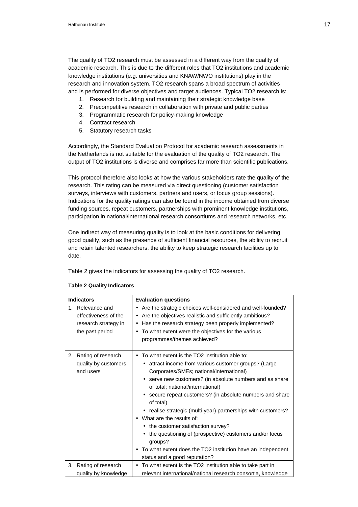The quality of TO2 research must be assessed in a different way from the quality of academic research. This is due to the different roles that TO2 institutions and academic knowledge institutions (e.g. universities and KNAW/NWO institutions) play in the research and innovation system. TO2 research spans a broad spectrum of activities and is performed for diverse objectives and target audiences. Typical TO2 research is:

- 1. Research for building and maintaining their strategic knowledge base
- 2. Precompetitive research in collaboration with private and public parties
- 3. Programmatic research for policy-making knowledge
- 4. Contract research
- 5. Statutory research tasks

Accordingly, the Standard Evaluation Protocol for academic research assessments in the Netherlands is not suitable for the evaluation of the quality of TO2 research. The output of TO2 institutions is diverse and comprises far more than scientific publications.

This protocol therefore also looks at how the various stakeholders rate the quality of the research. This rating can be measured via direct questioning (customer satisfaction surveys, interviews with customers, partners and users, or focus group sessions). Indications for the quality ratings can also be found in the income obtained from diverse funding sources, repeat customers, partnerships with prominent knowledge institutions, participation in national/international research consortiums and research networks, etc.

One indirect way of measuring quality is to look at the basic conditions for delivering good quality, such as the presence of sufficient financial resources, the ability to recruit and retain talented researchers, the ability to keep strategic research facilities up to date.

Table 2 gives the indicators for assessing the quality of TO2 research.

| <b>Indicators</b>                                                                   |                      | <b>Evaluation questions</b>                                                                                                                                                                                                                                                                                                                                                                                                                                                                                                                                                                                                              |
|-------------------------------------------------------------------------------------|----------------------|------------------------------------------------------------------------------------------------------------------------------------------------------------------------------------------------------------------------------------------------------------------------------------------------------------------------------------------------------------------------------------------------------------------------------------------------------------------------------------------------------------------------------------------------------------------------------------------------------------------------------------------|
| 1. Relevance and<br>effectiveness of the<br>research strategy in<br>the past period |                      | Are the strategic choices well-considered and well-founded?<br>٠<br>Are the objectives realistic and sufficiently ambitious?<br>$\bullet$<br>Has the research strategy been properly implemented?<br>$\bullet$<br>To what extent were the objectives for the various<br>$\bullet$<br>programmes/themes achieved?                                                                                                                                                                                                                                                                                                                         |
| Rating of research<br>2.<br>quality by customers<br>and users                       |                      | To what extent is the TO2 institution able to:<br>• attract income from various customer groups? (Large<br>Corporates/SMEs; national/international)<br>• serve new customers? (in absolute numbers and as share<br>of total; national/international)<br>secure repeat customers? (in absolute numbers and share<br>of total)<br>• realise strategic (multi-year) partnerships with customers?<br>• What are the results of:<br>• the customer satisfaction survey?<br>the questioning of (prospective) customers and/or focus<br>groups?<br>To what extent does the TO2 institution have an independent<br>status and a good reputation? |
| Rating of research<br>3.                                                            | quality by knowledge | To what extent is the TO2 institution able to take part in<br>$\bullet$<br>relevant international/national research consortia, knowledge                                                                                                                                                                                                                                                                                                                                                                                                                                                                                                 |

# **Table 2 Quality Indicators**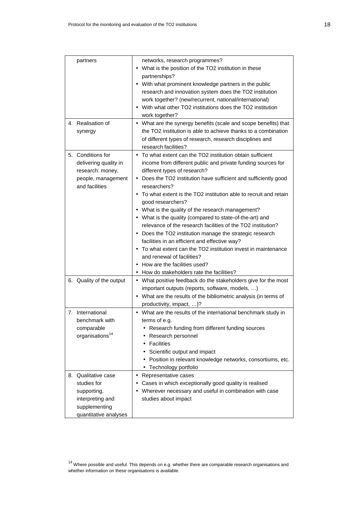| partners                                                                                                        | networks, research programmes?<br>• What is the position of the TO2 institution in these<br>partnerships?<br>• With what prominent knowledge partners in the public<br>research and innovation system does the TO2 institution<br>work together? (new/recurrent, national/international)<br>With what other TO2 institutions does the TO2 institution<br>work together?                                                                                                                                                                                                                                                                                                                                                                                                                                               |
|-----------------------------------------------------------------------------------------------------------------|-----------------------------------------------------------------------------------------------------------------------------------------------------------------------------------------------------------------------------------------------------------------------------------------------------------------------------------------------------------------------------------------------------------------------------------------------------------------------------------------------------------------------------------------------------------------------------------------------------------------------------------------------------------------------------------------------------------------------------------------------------------------------------------------------------------------------|
| 4. Realisation of<br>synergy                                                                                    | • What are the synergy benefits (scale and scope benefits) that<br>the TO2 institution is able to achieve thanks to a combination<br>of different types of research, research disciplines and<br>research facilities?                                                                                                                                                                                                                                                                                                                                                                                                                                                                                                                                                                                                 |
| 5. Conditions for<br>delivering quality in<br>research: money,<br>people, management<br>and facilities          | • To what extent can the TO2 institution obtain sufficient<br>income from different public and private funding sources for<br>different types of research?<br>• Does the TO2 institution have sufficient and sufficiently good<br>researchers?<br>• To what extent is the TO2 institution able to recruit and retain<br>good researchers?<br>• What is the quality of the research management?<br>• What is the quality (compared to state-of-the-art) and<br>relevance of the research facilities of the TO2 institution?<br>• Does the TO2 institution manage the strategic research<br>facilities in an efficient and effective way?<br>• To what extent can the TO2 institution invest in maintenance<br>and renewal of facilities?<br>• How are the facilities used?<br>How do stakeholders rate the facilities? |
| 6. Quality of the output                                                                                        | • What positive feedback do the stakeholders give for the most<br>important outputs (reports, software, models, )<br>• What are the results of the bibliometric analysis (in terms of<br>productivity, impact, )?                                                                                                                                                                                                                                                                                                                                                                                                                                                                                                                                                                                                     |
| 7. International<br>benchmark with<br>comparable<br>organisations <sup>14</sup>                                 | What are the results of the international benchmark study in<br>terms of e.g.<br>Research funding from different funding sources<br>Research personnel<br>Facilities<br>Scientific output and impact<br>• Position in relevant knowledge networks, consortiums, etc.<br>• Technology portfolio                                                                                                                                                                                                                                                                                                                                                                                                                                                                                                                        |
| 8. Qualitative case<br>studies for<br>supporting,<br>interpreting and<br>supplementing<br>quantitative analyses | Representative cases<br>$\bullet$<br>Cases in which exceptionally good quality is realised<br>• Wherever necessary and useful in combination with case<br>studies about impact                                                                                                                                                                                                                                                                                                                                                                                                                                                                                                                                                                                                                                        |

 $14$  Where possible and useful. This depends on e.g. whether there are comparable research organisations and whether information on these organisations is available.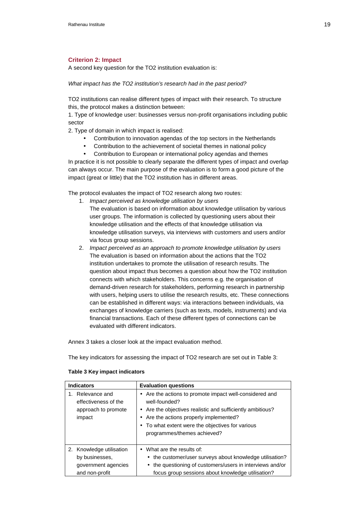# **Criterion 2: Impact**

A second key question for the TO2 institution evaluation is:

What impact has the TO2 institution's research had in the past period?

TO2 institutions can realise different types of impact with their research. To structure this, the protocol makes a distinction between:

1. Type of knowledge user: businesses versus non-profit organisations including public sector

2. Type of domain in which impact is realised:

- Contribution to innovation agendas of the top sectors in the Netherlands
- Contribution to the achievement of societal themes in national policy
- Contribution to European or international policy agendas and themes

In practice it is not possible to clearly separate the different types of impact and overlap can always occur. The main purpose of the evaluation is to form a good picture of the impact (great or little) that the TO2 institution has in different areas.

The protocol evaluates the impact of TO2 research along two routes:

- 1. Impact perceived as knowledge utilisation by users
- The evaluation is based on information about knowledge utilisation by various user groups. The information is collected by questioning users about their knowledge utilisation and the effects of that knowledge utilisation via knowledge utilisation surveys, via interviews with customers and users and/or via focus group sessions.
- 2. Impact perceived as an approach to promote knowledge utilisation by users The evaluation is based on information about the actions that the TO2 institution undertakes to promote the utilisation of research results. The question about impact thus becomes a question about how the TO2 institution connects with which stakeholders. This concerns e.g. the organisation of demand-driven research for stakeholders, performing research in partnership with users, helping users to utilise the research results, etc. These connections can be established in different ways: via interactions between individuals, via exchanges of knowledge carriers (such as texts, models, instruments) and via financial transactions. Each of these different types of connections can be evaluated with different indicators.

Annex 3 takes a closer look at the impact evaluation method.

The key indicators for assessing the impact of TO2 research are set out in Table 3:

| <b>Indicators</b>                                                                   | <b>Evaluation questions</b>                                                                                                                                                                                                                                      |
|-------------------------------------------------------------------------------------|------------------------------------------------------------------------------------------------------------------------------------------------------------------------------------------------------------------------------------------------------------------|
| Relevance and<br>effectiveness of the<br>approach to promote<br>impact              | • Are the actions to promote impact well-considered and<br>well-founded?<br>Are the objectives realistic and sufficiently ambitious?<br>Are the actions properly implemented?<br>• To what extent were the objectives for various<br>programmes/themes achieved? |
| 2. Knowledge utilisation<br>by businesses.<br>government agencies<br>and non-profit | What are the results of:<br>• the customer/user surveys about knowledge utilisation?<br>• the questioning of customers/users in interviews and/or<br>focus group sessions about knowledge utilisation?                                                           |

#### **Table 3 Key impact indicators**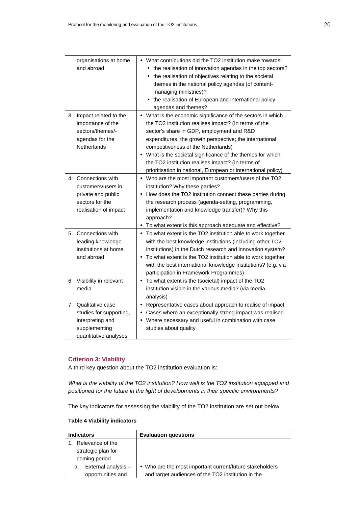| organisations at home<br>and abroad                                                                          | What contributions did the TO2 institution make towards:<br>the realisation of innovation agendas in the top sectors?<br>the realisation of objectives relating to the societal<br>themes in the national policy agendas (of content-<br>managing ministries)?<br>• the realisation of European and international policy<br>agendas and themes?                                                                                                             |
|--------------------------------------------------------------------------------------------------------------|-------------------------------------------------------------------------------------------------------------------------------------------------------------------------------------------------------------------------------------------------------------------------------------------------------------------------------------------------------------------------------------------------------------------------------------------------------------|
| 3. Impact related to the<br>importance of the<br>sectors/themes/-<br>agendas for the<br>Netherlands          | • What is the economic significance of the sectors in which<br>the TO2 institution realises impact? (In terms of the<br>sector's share in GDP, employment and R&D<br>expenditures, the growth perspective; the international<br>competitiveness of the Netherlands)<br>What is the societal significance of the themes for which<br>٠<br>the TO2 institution realises impact? (In terms of<br>prioritisation in national, European or international policy) |
| 4. Connections with<br>customers/users in<br>private and public<br>sectors for the<br>realisation of impact  | • Who are the most important customers/users of the TO2<br>institution? Why these parties?<br>• How does the TO2 institution connect these parties during<br>the research process (agenda-setting, programming,<br>implementation and knowledge transfer)? Why this<br>approach?<br>To what extent is this approach adequate and effective?<br>$\bullet$                                                                                                    |
| 5. Connections with<br>leading knowledge<br>institutions at home<br>and abroad                               | To what extent is the TO2 institution able to work together<br>$\bullet$<br>with the best knowledge institutions (including other TO2<br>institutions) in the Dutch research and innovation system?<br>To what extent is the TO2 institution able to work together<br>$\bullet$<br>with the best international knowledge institutions? (e.g. via<br>participation in Framework Programmes)                                                                  |
| 6. Visibility in relevant<br>media                                                                           | • To what extent is the (societal) impact of the TO2<br>institution visible in the various media? (via media<br>analysis)                                                                                                                                                                                                                                                                                                                                   |
| 7. Qualitative case<br>studies for supporting,<br>interpreting and<br>supplementing<br>quantitative analyses | • Representative cases about approach to realise of impact<br>Cases where an exceptionally strong impact was realised<br>Where necessary and useful in combination with case<br>$\bullet$<br>studies about quality                                                                                                                                                                                                                                          |

# **Criterion 3: Viability**

A third key question about the TO2 institution evaluation is:

What is the viability of the TO2 institution? How well is the TO2 institution equipped and positioned for the future in the light of developments in their specific environments?

The key indicators for assessing the viability of the TO2 institution are set out below.

| <b>Table 4 Viability indicators</b> |  |
|-------------------------------------|--|
|-------------------------------------|--|

| <b>Indicators</b>         | <b>Evaluation questions</b>                              |
|---------------------------|----------------------------------------------------------|
| Relevance of the          |                                                          |
| strategic plan for        |                                                          |
| coming period             |                                                          |
| External analysis -<br>a. | • Who are the most important current/future stakeholders |
| opportunities and         | and target audiences of the TO2 institution in the       |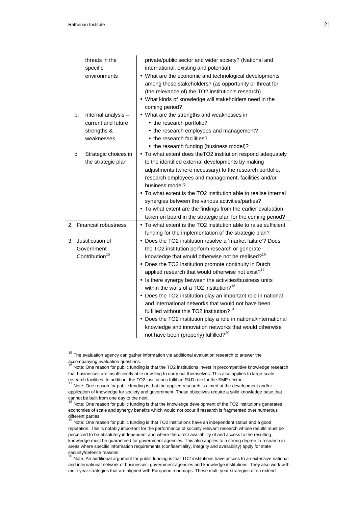| threats in the<br>specific<br>environments                                   | private/public sector and wider society? (National and<br>international, existing and potential)<br>• What are the economic and technological developments<br>among these stakeholders? (as opportunity or threat for<br>(the relevance of) the TO2 institution's research)<br>• What kinds of knowledge will stakeholders need in the<br>coming period?                                                                                                                                                                                                                                                                                                                                                                                                                                             |
|------------------------------------------------------------------------------|------------------------------------------------------------------------------------------------------------------------------------------------------------------------------------------------------------------------------------------------------------------------------------------------------------------------------------------------------------------------------------------------------------------------------------------------------------------------------------------------------------------------------------------------------------------------------------------------------------------------------------------------------------------------------------------------------------------------------------------------------------------------------------------------------|
| Internal analysis -<br>b.<br>current and future<br>strengths &<br>weaknesses | • What are the strengths and weaknesses in<br>• the research portfolio?<br>• the research employees and management?<br>• the research facilities?                                                                                                                                                                                                                                                                                                                                                                                                                                                                                                                                                                                                                                                    |
| Strategic choices in<br>c.<br>the strategic plan                             | • the research funding (business model)?<br>• To what extent does the TO2 institution respond adequately<br>to the identified external developments by making<br>adjustments (where necessary) to the research portfolio,<br>research employees and management, facilities and/or<br>business model?<br>• To what extent is the TO2 institution able to realise internal<br>synergies between the various activities/parties?<br>• To what extent are the findings from the earlier evaluation<br>taken on board in the strategic plan for the coming period?                                                                                                                                                                                                                                        |
| 2. Financial robustness                                                      | • To what extent is the TO2 institution able to raise sufficient<br>funding for the implementation of the strategic plan?                                                                                                                                                                                                                                                                                                                                                                                                                                                                                                                                                                                                                                                                            |
| 3. Justification of<br>Government<br>Contribution <sup>15</sup>              | • Does the TO2 institution resolve a 'market failure'? Does<br>the TO2 institution perform research or generate<br>knowledge that would otherwise not be realised? <sup>16</sup><br>• Does the TO2 institution promote continuity in Dutch<br>applied research that would otherwise not exist? <sup>17</sup><br>• Is there synergy between the activities/business units<br>within the walls of a TO2 institution? <sup>18</sup><br>• Does the TO2 institution play an important role in national<br>and international networks that would not have been<br>fulfilled without this TO2 institution? <sup>19</sup><br>• Does the TO2 institution play a role in national/international<br>knowledge and innovation networks that would otherwise<br>not have been (properly) fulfilled? <sup>20</sup> |

 $15$  The evaluation agency can gather information via additional evaluation research to answer the accompanying evaluation questions.

Note: One reason for public funding is that the TO2 institutions invest in precompetitive knowledge research that businesses are insufficiently able or willing to carry out themselves. This also applies to large-scale research facilities. In addition, the TO2 institutions fulfil an R&D role for the SME sector.

Note: One reason for public funding is that the applied research is aimed at the development and/or application of knowledge for society and government. These objectives require a solid knowledge base that cannot be built from one day to the next.

Note: One reason for public funding is that the knowledge development of the TO2 institutions generates economies of scale and synergy benefits which would not occur if research is fragmented over numerous different parties.

Note: One reason for public funding is that TO2 institutions have an independent status and a good reputation. This is notably important for the performance of socially relevant research whose results must be perceived to be absolutely independent and where the direct availability of and access to the resulting knowledge must be guaranteed for government agencies. This also applies to a strong degree to research in areas where specific information requirements (confidentiality, integrity and availability) apply for state security/defence reasons.

Note: An additional argument for public funding is that TO2 institutions have access to an extensive national and international network of businesses, government agencies and knowledge institutions. They also work with multi-year strategies that are aligned with European roadmaps. These multi-year strategies often extend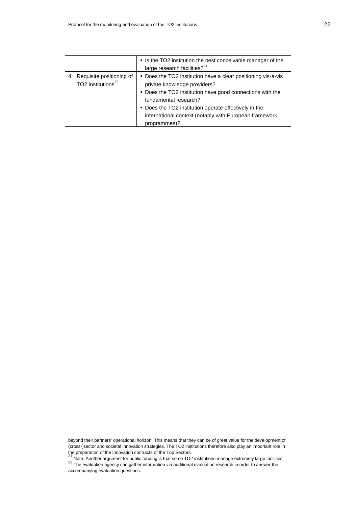|                                                                  | • Is the TO2 institution the best conceivable manager of the<br>large research facilities? <sup>21</sup>                                                                                                                                                                                                               |
|------------------------------------------------------------------|------------------------------------------------------------------------------------------------------------------------------------------------------------------------------------------------------------------------------------------------------------------------------------------------------------------------|
| Requisite positioning of<br>4.<br>TO2 institutions <sup>22</sup> | • Does the TO2 institution have a clear positioning vis-à-vis<br>private knowledge providers?<br>• Does the TO2 institution have good connections with the<br>fundamental research?<br>• Does the TO2 institution operate effectively in the<br>international context (notably with European framework<br>programmes)? |

beyond their partners' operational horizon. This means that they can be of great value for the development of (cross-)sector and societal innovation strategies. The TO2 institutions therefore also play an important role in the preparation of the innovation contracts of the Top Sectors.<br><sup>21</sup> Note: Another argument for public funding is that some TO2 institutions manage extremely large facilities.

22 The evaluation agency can gather information via additional evaluation research in order to answer the accompanying evaluation questions.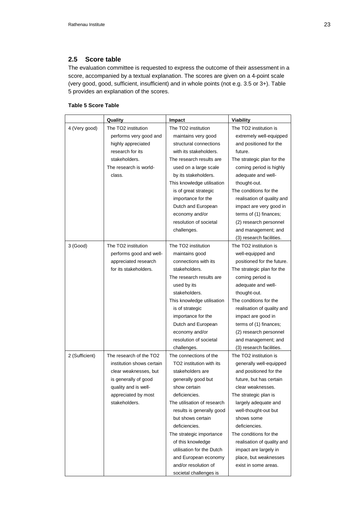# **2.5 Score table**

The evaluation committee is requested to express the outcome of their assessment in a score, accompanied by a textual explanation. The scores are given on a 4-point scale (very good, good, sufficient, insufficient) and in whole points (not e.g. 3.5 or 3+). Table 5 provides an explanation of the scores.

# **Table 5 Score Table**

|                | Quality                   | Impact                      | <b>Viability</b>           |
|----------------|---------------------------|-----------------------------|----------------------------|
| 4 (Very good)  | The TO2 institution       | The TO2 institution         | The TO2 institution is     |
|                | performs very good and    | maintains very good         | extremely well-equipped    |
|                | highly appreciated        | structural connections      | and positioned for the     |
|                | research for its          | with its stakeholders.      | future.                    |
|                | stakeholders.             | The research results are    | The strategic plan for the |
|                | The research is world-    | used on a large scale       | coming period is highly    |
|                | class.                    | by its stakeholders.        | adequate and well-         |
|                |                           | This knowledge utilisation  | thought-out.               |
|                |                           | is of great strategic       | The conditions for the     |
|                |                           | importance for the          | realisation of quality and |
|                |                           | Dutch and European          | impact are very good in    |
|                |                           | economy and/or              | terms of (1) finances;     |
|                |                           | resolution of societal      | (2) research personnel     |
|                |                           | challenges.                 | and management; and        |
|                |                           |                             | (3) research facilities.   |
| 3 (Good)       | The TO2 institution       | The TO2 institution         | The TO2 institution is     |
|                | performs good and well-   | maintains good              | well-equipped and          |
|                | appreciated research      | connections with its        | positioned for the future. |
|                | for its stakeholders.     | stakeholders.               | The strategic plan for the |
|                |                           | The research results are    | coming period is           |
|                |                           | used by its                 | adequate and well-         |
|                |                           | stakeholders.               | thought-out.               |
|                |                           | This knowledge utilisation  | The conditions for the     |
|                |                           | is of strategic             | realisation of quality and |
|                |                           | importance for the          | impact are good in         |
|                |                           | Dutch and European          | terms of (1) finances;     |
|                |                           | economy and/or              | (2) research personnel     |
|                |                           | resolution of societal      | and management; and        |
|                |                           | challenges.                 | (3) research facilities.   |
| 2 (Sufficient) | The research of the TO2   | The connections of the      | The TO2 institution is     |
|                | institution shows certain | TO2 institution with its    | generally well-equipped    |
|                | clear weaknesses, but     | stakeholders are            | and positioned for the     |
|                | is generally of good      | generally good but          | future, but has certain    |
|                | quality and is well-      | show certain                | clear weaknesses.          |
|                | appreciated by most       | deficiencies.               | The strategic plan is      |
|                | stakeholders.             | The utilisation of research | largely adequate and       |
|                |                           | results is generally good   | well-thought-out but       |
|                |                           | but shows certain           | shows some                 |
|                |                           | deficiencies.               | deficiencies.              |
|                |                           | The strategic importance    | The conditions for the     |
|                |                           | of this knowledge           | realisation of quality and |
|                |                           | utilisation for the Dutch   | impact are largely in      |
|                |                           | and European economy        | place, but weaknesses      |
|                |                           | and/or resolution of        | exist in some areas.       |
|                |                           | societal challenges is      |                            |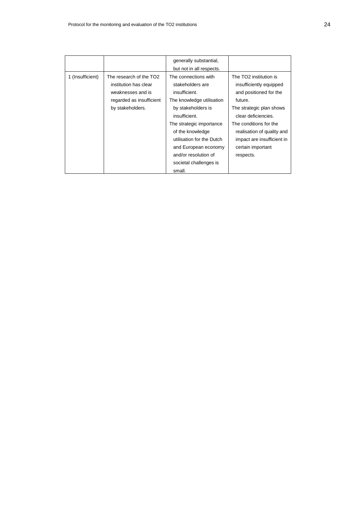|                  |                                                                                                                       | generally substantial,<br>but not in all respects.                                                                                                                                                                                                                                             |                                                                                                                                                                                                                                                                   |
|------------------|-----------------------------------------------------------------------------------------------------------------------|------------------------------------------------------------------------------------------------------------------------------------------------------------------------------------------------------------------------------------------------------------------------------------------------|-------------------------------------------------------------------------------------------------------------------------------------------------------------------------------------------------------------------------------------------------------------------|
| 1 (Insufficient) | The research of the TO2<br>institution has clear<br>weaknesses and is<br>regarded as insufficient<br>by stakeholders. | The connections with<br>stakeholders are<br>insufficient.<br>The knowledge utilisation<br>by stakeholders is<br>insufficient.<br>The strategic importance<br>of the knowledge<br>utilisation for the Dutch<br>and European economy<br>and/or resolution of<br>societal challenges is<br>small. | The TO2 institution is<br>insufficiently equipped<br>and positioned for the<br>future.<br>The strategic plan shows<br>clear deficiencies.<br>The conditions for the<br>realisation of quality and<br>impact are insufficient in<br>certain important<br>respects. |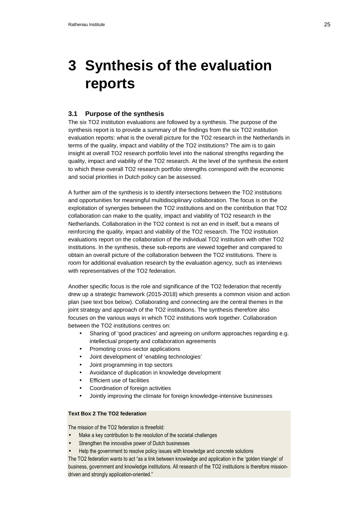# **3 Synthesis of the evaluation reports**

# **3.1 Purpose of the synthesis**

The six TO2 institution evaluations are followed by a synthesis. The purpose of the synthesis report is to provide a summary of the findings from the six TO2 institution evaluation reports: what is the overall picture for the TO2 research in the Netherlands in terms of the quality, impact and viability of the TO2 institutions? The aim is to gain insight at overall TO2 research portfolio level into the national strengths regarding the quality, impact and viability of the TO2 research. At the level of the synthesis the extent to which these overall TO2 research portfolio strengths correspond with the economic and social priorities in Dutch policy can be assessed.

A further aim of the synthesis is to identify intersections between the TO2 institutions and opportunities for meaningful multidisciplinary collaboration. The focus is on the exploitation of synergies between the TO2 institutions and on the contribution that TO2 collaboration can make to the quality, impact and viability of TO2 research in the Netherlands. Collaboration in the TO2 context is not an end in itself, but a means of reinforcing the quality, impact and viability of the TO2 research. The TO2 institution evaluations report on the collaboration of the individual TO2 institution with other TO2 institutions. In the synthesis, these sub-reports are viewed together and compared to obtain an overall picture of the collaboration between the TO2 institutions. There is room for additional evaluation research by the evaluation agency, such as interviews with representatives of the TO2 federation.

Another specific focus is the role and significance of the TO2 federation that recently drew up a strategic framework (2015-2018) which presents a common vision and action plan (see text box below). Collaborating and connecting are the central themes in the joint strategy and approach of the TO2 institutions. The synthesis therefore also focuses on the various ways in which TO2 institutions work together. Collaboration between the TO2 institutions centres on:

- Sharing of 'good practices' and agreeing on uniform approaches regarding e.g. intellectual property and collaboration agreements
- Promoting cross-sector applications
- Joint development of 'enabling technologies'
- Joint programming in top sectors
- Avoidance of duplication in knowledge development
- **Efficient use of facilities**
- Coordination of foreign activities
- Jointly improving the climate for foreign knowledge-intensive businesses

# **Text Box 2 The TO2 federation**

The mission of the TO2 federation is threefold:

- Make a key contribution to the resolution of the societal challenges
- Strengthen the innovative power of Dutch businesses
- Help the government to resolve policy issues with knowledge and concrete solutions

The TO2 federation wants to act "as a link between knowledge and application in the 'golden triangle' of business, government and knowledge institutions. All research of the TO2 institutions is therefore missiondriven and strongly application-oriented."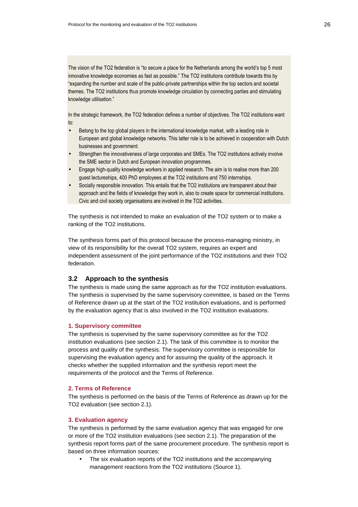The vision of the TO2 federation is "to secure a place for the Netherlands among the world's top 5 most innovative knowledge economies as fast as possible." The TO2 institutions contribute towards this by "expanding the number and scale of the public-private partnerships within the top sectors and societal themes. The TO2 institutions thus promote knowledge circulation by connecting parties and stimulating knowledge utilisation."

In the strategic framework, the TO2 federation defines a number of objectives. The TO2 institutions want to:

- Belong to the top global players in the international knowledge market, with a leading role in European and global knowledge networks. This latter role is to be achieved in cooperation with Dutch businesses and government.
- Strengthen the innovativeness of large corporates and SMEs. The TO2 institutions actively involve the SME sector in Dutch and European innovation programmes.
- Engage high-quality knowledge workers in applied research. The aim is to realise more than 200 guest lectureships, 400 PhD employees at the TO2 institutions and 750 internships.
- Socially responsible innovation. This entails that the TO2 institutions are transparent about their approach and the fields of knowledge they work in, also to create space for commercial institutions. Civic and civil society organisations are involved in the TO2 activities.

The synthesis is not intended to make an evaluation of the TO2 system or to make a ranking of the TO2 institutions.

The synthesis forms part of this protocol because the process-managing ministry, in view of its responsibility for the overall TO2 system, requires an expert and independent assessment of the joint performance of the TO2 institutions and their TO2 federation.

# **3.2 Approach to the synthesis**

The synthesis is made using the same approach as for the TO2 institution evaluations. The synthesis is supervised by the same supervisory committee, is based on the Terms of Reference drawn up at the start of the TO2 institution evaluations, and is performed by the evaluation agency that is also involved in the TO2 institution evaluations.

# **1. Supervisory committee**

The synthesis is supervised by the same supervisory committee as for the TO2 institution evaluations (see section 2.1). The task of this committee is to monitor the process and quality of the synthesis. The supervisory committee is responsible for supervising the evaluation agency and for assuring the quality of the approach. It checks whether the supplied information and the synthesis report meet the requirements of the protocol and the Terms of Reference.

#### **2. Terms of Reference**

The synthesis is performed on the basis of the Terms of Reference as drawn up for the TO2 evaluation (see section 2.1).

#### **3. Evaluation agency**

The synthesis is performed by the same evaluation agency that was engaged for one or more of the TO2 institution evaluations (see section 2.1). The preparation of the synthesis report forms part of the same procurement procedure. The synthesis report is based on three information sources:

The six evaluation reports of the TO2 institutions and the accompanying management reactions from the TO2 institutions (Source 1).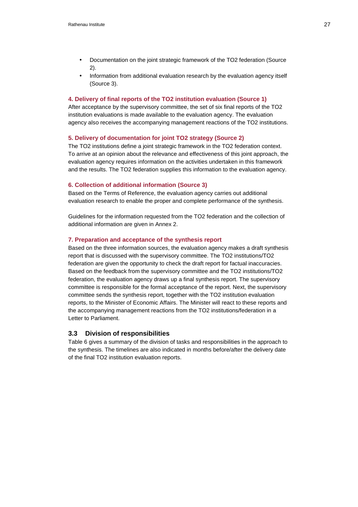- Documentation on the joint strategic framework of the TO2 federation (Source 2).
- Information from additional evaluation research by the evaluation agency itself (Source 3).

#### **4. Delivery of final reports of the TO2 institution evaluation (Source 1)**

After acceptance by the supervisory committee, the set of six final reports of the TO2 institution evaluations is made available to the evaluation agency. The evaluation agency also receives the accompanying management reactions of the TO2 institutions.

### **5. Delivery of documentation for joint TO2 strategy (Source 2)**

The TO2 institutions define a joint strategic framework in the TO2 federation context. To arrive at an opinion about the relevance and effectiveness of this joint approach, the evaluation agency requires information on the activities undertaken in this framework and the results. The TO2 federation supplies this information to the evaluation agency.

#### **6. Collection of additional information (Source 3)**

Based on the Terms of Reference, the evaluation agency carries out additional evaluation research to enable the proper and complete performance of the synthesis.

Guidelines for the information requested from the TO2 federation and the collection of additional information are given in Annex 2.

## **7. Preparation and acceptance of the synthesis report**

Based on the three information sources, the evaluation agency makes a draft synthesis report that is discussed with the supervisory committee. The TO2 institutions/TO2 federation are given the opportunity to check the draft report for factual inaccuracies. Based on the feedback from the supervisory committee and the TO2 institutions/TO2 federation, the evaluation agency draws up a final synthesis report. The supervisory committee is responsible for the formal acceptance of the report. Next, the supervisory committee sends the synthesis report, together with the TO2 institution evaluation reports, to the Minister of Economic Affairs. The Minister will react to these reports and the accompanying management reactions from the TO2 institutions/federation in a Letter to Parliament.

# **3.3 Division of responsibilities**

Table 6 gives a summary of the division of tasks and responsibilities in the approach to the synthesis. The timelines are also indicated in months before/after the delivery date of the final TO2 institution evaluation reports.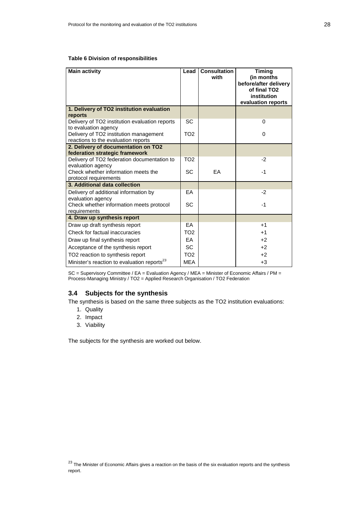## **Table 6 Division of responsibilities**

| <b>Main activity</b>                                                          | Lead            | <b>Consultation</b><br>with | <b>Timing</b><br>(in months<br>before/after delivery<br>of final TO <sub>2</sub><br>institution<br>evaluation reports |
|-------------------------------------------------------------------------------|-----------------|-----------------------------|-----------------------------------------------------------------------------------------------------------------------|
| 1. Delivery of TO2 institution evaluation<br>reports                          |                 |                             |                                                                                                                       |
| Delivery of TO2 institution evaluation reports<br>to evaluation agency        | <b>SC</b>       |                             | $\Omega$                                                                                                              |
| Delivery of TO2 institution management<br>reactions to the evaluation reports | TO <sub>2</sub> |                             | $\Omega$                                                                                                              |
| 2. Delivery of documentation on TO2                                           |                 |                             |                                                                                                                       |
| federation strategic framework                                                |                 |                             |                                                                                                                       |
| Delivery of TO2 federation documentation to                                   | TO <sub>2</sub> |                             | $-2$                                                                                                                  |
| evaluation agency<br>Check whether information meets the                      | <b>SC</b>       | <b>FA</b>                   | $-1$                                                                                                                  |
| protocol requirements                                                         |                 |                             |                                                                                                                       |
| 3. Additional data collection                                                 |                 |                             |                                                                                                                       |
| Delivery of additional information by<br>evaluation agency                    | FA.             |                             | $-2$                                                                                                                  |
| Check whether information meets protocol<br>requirements                      | SC              |                             | $-1$                                                                                                                  |
| 4. Draw up synthesis report                                                   |                 |                             |                                                                                                                       |
| Draw up draft synthesis report                                                | FA.             |                             | $+1$                                                                                                                  |
| Check for factual inaccuracies                                                | TO <sub>2</sub> |                             | $+1$                                                                                                                  |
| Draw up final synthesis report                                                | <b>FA</b>       |                             | $+2$                                                                                                                  |
| Acceptance of the synthesis report                                            | <b>SC</b>       |                             | $+2$                                                                                                                  |
| TO2 reaction to synthesis report                                              | TO <sub>2</sub> |                             | $+2$                                                                                                                  |
| Minister's reaction to evaluation reports <sup>23</sup>                       | <b>MEA</b>      |                             | $+3$                                                                                                                  |

SC = Supervisory Committee / EA = Evaluation Agency / MEA = Minister of Economic Affairs / PM = Process-Managing Ministry / TO2 = Applied Research Organisation / TO2 Federation

# **3.4 Subjects for the synthesis**

The synthesis is based on the same three subjects as the TO2 institution evaluations:

- 1. Quality
- 2. Impact
- 3. Viability

The subjects for the synthesis are worked out below.

 $23$  The Minister of Economic Affairs gives a reaction on the basis of the six evaluation reports and the synthesis report.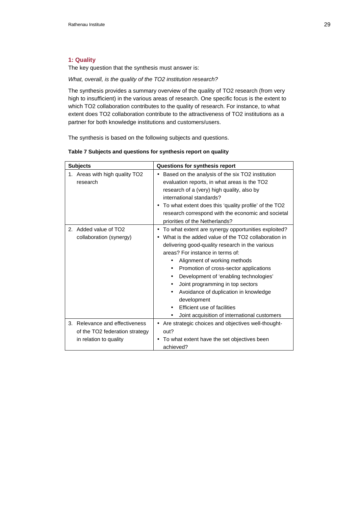# **1: Quality**

The key question that the synthesis must answer is:

What, overall, is the quality of the TO2 institution research?

The synthesis provides a summary overview of the quality of TO2 research (from very high to insufficient) in the various areas of research. One specific focus is the extent to which TO2 collaboration contributes to the quality of research. For instance, to what extent does TO2 collaboration contribute to the attractiveness of TO2 institutions as a partner for both knowledge institutions and customers/users.

The synthesis is based on the following subjects and questions.

| <b>Subjects</b>                                                                               | Questions for synthesis report                                                                                                                                                                                                                                                                                                                                                                                                                                                                                                       |
|-----------------------------------------------------------------------------------------------|--------------------------------------------------------------------------------------------------------------------------------------------------------------------------------------------------------------------------------------------------------------------------------------------------------------------------------------------------------------------------------------------------------------------------------------------------------------------------------------------------------------------------------------|
| 1. Areas with high quality TO2<br>research                                                    | Based on the analysis of the six TO2 institution<br>$\bullet$<br>evaluation reports, in what areas is the TO2<br>research of a (very) high quality, also by<br>international standards?<br>To what extent does this 'quality profile' of the TO2<br>٠<br>research correspond with the economic and societal<br>priorities of the Netherlands?                                                                                                                                                                                        |
| 2. Added value of TO2<br>collaboration (synergy)                                              | To what extent are synergy opportunities exploited?<br>$\bullet$<br>What is the added value of the TO2 collaboration in<br>$\bullet$<br>delivering good-quality research in the various<br>areas? For instance in terms of:<br>Alignment of working methods<br>Promotion of cross-sector applications<br>٠<br>Development of 'enabling technologies'<br>٠<br>Joint programming in top sectors<br>Avoidance of duplication in knowledge<br>development<br>Efficient use of facilities<br>Joint acquisition of international customers |
| Relevance and effectiveness<br>3.<br>of the TO2 federation strategy<br>in relation to quality | • Are strategic choices and objectives well-thought-<br>out?<br>To what extent have the set objectives been<br>٠<br>achieved?                                                                                                                                                                                                                                                                                                                                                                                                        |

## **Table 7 Subjects and questions for synthesis report on quality**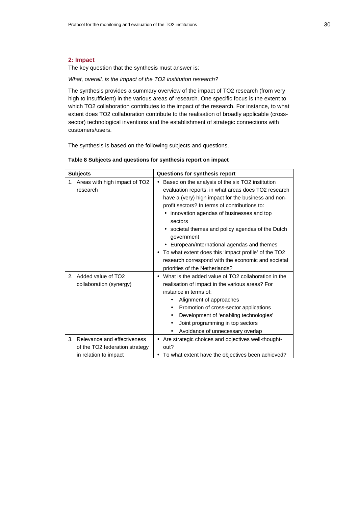# **2: Impact**

The key question that the synthesis must answer is:

What, overall, is the impact of the TO2 institution research?

The synthesis provides a summary overview of the impact of TO2 research (from very high to insufficient) in the various areas of research. One specific focus is the extent to which TO2 collaboration contributes to the impact of the research. For instance, to what extent does TO2 collaboration contribute to the realisation of broadly applicable (crosssector) technological inventions and the establishment of strategic connections with customers/users.

The synthesis is based on the following subjects and questions.

| Table 8 Subjects and questions for synthesis report on impact |
|---------------------------------------------------------------|
|---------------------------------------------------------------|

| <b>Subjects</b>                                                                           | Questions for synthesis report                                                                                                                                                                                                                                                                                                                                                                                                                                                                                                                |
|-------------------------------------------------------------------------------------------|-----------------------------------------------------------------------------------------------------------------------------------------------------------------------------------------------------------------------------------------------------------------------------------------------------------------------------------------------------------------------------------------------------------------------------------------------------------------------------------------------------------------------------------------------|
| 1. Areas with high impact of TO2<br>research                                              | Based on the analysis of the six TO2 institution<br>٠<br>evaluation reports, in what areas does TO2 research<br>have a (very) high impact for the business and non-<br>profit sectors? In terms of contributions to:<br>innovation agendas of businesses and top<br>sectors<br>• societal themes and policy agendas of the Dutch<br>government<br>• European/International agendas and themes<br>To what extent does this 'impact profile' of the TO2<br>research correspond with the economic and societal<br>priorities of the Netherlands? |
| 2. Added value of TO2<br>collaboration (synergy)                                          | What is the added value of TO2 collaboration in the<br>٠<br>realisation of impact in the various areas? For<br>instance in terms of:<br>Alignment of approaches<br>Promotion of cross-sector applications<br>٠<br>Development of 'enabling technologies'<br>Joint programming in top sectors<br>Avoidance of unnecessary overlap                                                                                                                                                                                                              |
| 3. Relevance and effectiveness<br>of the TO2 federation strategy<br>in relation to impact | Are strategic choices and objectives well-thought-<br>out?<br>To what extent have the objectives been achieved?                                                                                                                                                                                                                                                                                                                                                                                                                               |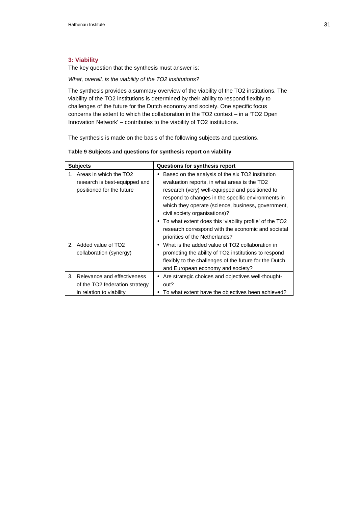# **3: Viability**

The key question that the synthesis must answer is:

What, overall, is the viability of the TO2 institutions?

The synthesis provides a summary overview of the viability of the TO2 institutions. The viability of the TO2 institutions is determined by their ability to respond flexibly to challenges of the future for the Dutch economy and society. One specific focus concerns the extent to which the collaboration in the TO2 context – in a 'TO2 Open Innovation Network' – contributes to the viability of TO2 institutions.

The synthesis is made on the basis of the following subjects and questions.

|  | Table 9 Subjects and questions for synthesis report on viability |  |
|--|------------------------------------------------------------------|--|
|  |                                                                  |  |

| <b>Subjects</b>                                                                                        | Questions for synthesis report                                                                                                                                                                                                                                                                                                                                                                                                                             |
|--------------------------------------------------------------------------------------------------------|------------------------------------------------------------------------------------------------------------------------------------------------------------------------------------------------------------------------------------------------------------------------------------------------------------------------------------------------------------------------------------------------------------------------------------------------------------|
| Areas in which the TO <sub>2</sub><br>1.<br>research is best-equipped and<br>positioned for the future | Based on the analysis of the six TO2 institution<br>٠<br>evaluation reports, in what areas is the TO2<br>research (very) well-equipped and positioned to<br>respond to changes in the specific environments in<br>which they operate (science, business, government,<br>civil society organisations)?<br>• To what extent does this 'viability profile' of the TO2<br>research correspond with the economic and societal<br>priorities of the Netherlands? |
| 2. Added value of TO2<br>collaboration (synergy)                                                       | What is the added value of TO2 collaboration in<br>$\bullet$<br>promoting the ability of TO2 institutions to respond<br>flexibly to the challenges of the future for the Dutch<br>and European economy and society?                                                                                                                                                                                                                                        |
| 3. Relevance and effectiveness<br>of the TO2 federation strategy<br>in relation to viability           | Are strategic choices and objectives well-thought-<br>$\bullet$<br>out?<br>To what extent have the objectives been achieved?                                                                                                                                                                                                                                                                                                                               |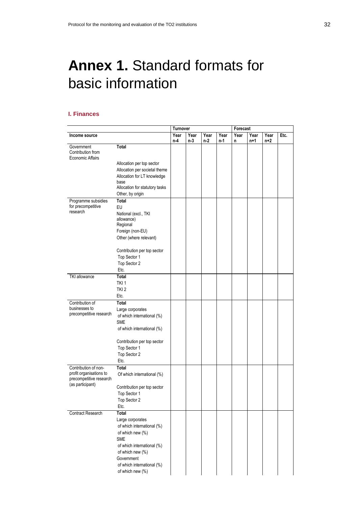# **Annex 1.** Standard formats for basic information

# **I. Finances**

|                                 |                                | <b>Turnover</b> |      |       |      | Forecast             |     |     |      |
|---------------------------------|--------------------------------|-----------------|------|-------|------|----------------------|-----|-----|------|
| Income source                   |                                | Year            | Year | Year  | Year | Year<br>Year<br>Year |     |     | Etc. |
|                                 |                                | n-4             | n-3  | $n-2$ | n-1  | n                    | n+1 | n+2 |      |
| Government<br>Contribution from | Total                          |                 |      |       |      |                      |     |     |      |
| Economic Affairs                |                                |                 |      |       |      |                      |     |     |      |
|                                 | Allocation per top sector      |                 |      |       |      |                      |     |     |      |
|                                 | Allocation per societal theme  |                 |      |       |      |                      |     |     |      |
|                                 | Allocation for LT knowledge    |                 |      |       |      |                      |     |     |      |
|                                 | base                           |                 |      |       |      |                      |     |     |      |
|                                 | Allocation for statutory tasks |                 |      |       |      |                      |     |     |      |
|                                 | Other, by origin               |                 |      |       |      |                      |     |     |      |
| Programme subsidies             | Total                          |                 |      |       |      |                      |     |     |      |
| for precompetitive<br>research  | EU                             |                 |      |       |      |                      |     |     |      |
|                                 | National (excl., TKI           |                 |      |       |      |                      |     |     |      |
|                                 | allowance)<br>Regional         |                 |      |       |      |                      |     |     |      |
|                                 | Foreign (non-EU)               |                 |      |       |      |                      |     |     |      |
|                                 | Other (where relevant)         |                 |      |       |      |                      |     |     |      |
|                                 |                                |                 |      |       |      |                      |     |     |      |
|                                 | Contribution per top sector    |                 |      |       |      |                      |     |     |      |
|                                 | Top Sector 1                   |                 |      |       |      |                      |     |     |      |
|                                 | Top Sector 2                   |                 |      |       |      |                      |     |     |      |
|                                 | Etc.                           |                 |      |       |      |                      |     |     |      |
| <b>TKI</b> allowance            | Total                          |                 |      |       |      |                      |     |     |      |
|                                 | TKI <sub>1</sub>               |                 |      |       |      |                      |     |     |      |
|                                 | TKI <sub>2</sub>               |                 |      |       |      |                      |     |     |      |
|                                 | Etc.                           |                 |      |       |      |                      |     |     |      |
| Contribution of                 | Total                          |                 |      |       |      |                      |     |     |      |
| businesses to                   | Large corporates               |                 |      |       |      |                      |     |     |      |
| precompetitive research         | of which international (%)     |                 |      |       |      |                      |     |     |      |
|                                 | <b>SME</b>                     |                 |      |       |      |                      |     |     |      |
|                                 | of which international (%)     |                 |      |       |      |                      |     |     |      |
|                                 |                                |                 |      |       |      |                      |     |     |      |
|                                 | Contribution per top sector    |                 |      |       |      |                      |     |     |      |
|                                 | Top Sector 1                   |                 |      |       |      |                      |     |     |      |
|                                 | Top Sector 2                   |                 |      |       |      |                      |     |     |      |
|                                 | Etc.                           |                 |      |       |      |                      |     |     |      |
| Contribution of non-            | Total                          |                 |      |       |      |                      |     |     |      |
| profit organisations to         | Of which international (%)     |                 |      |       |      |                      |     |     |      |
| precompetitive research         |                                |                 |      |       |      |                      |     |     |      |
| (as participant)                | Contribution per top sector    |                 |      |       |      |                      |     |     |      |
|                                 | Top Sector 1                   |                 |      |       |      |                      |     |     |      |
|                                 | Top Sector 2                   |                 |      |       |      |                      |     |     |      |
|                                 | Etc.                           |                 |      |       |      |                      |     |     |      |
| <b>Contract Research</b>        | Total                          |                 |      |       |      |                      |     |     |      |
|                                 | Large corporates               |                 |      |       |      |                      |     |     |      |
|                                 | of which international (%)     |                 |      |       |      |                      |     |     |      |
|                                 | of which new (%)               |                 |      |       |      |                      |     |     |      |
|                                 | <b>SME</b>                     |                 |      |       |      |                      |     |     |      |
|                                 | of which international (%)     |                 |      |       |      |                      |     |     |      |
|                                 | of which new (%)               |                 |      |       |      |                      |     |     |      |
|                                 | Government                     |                 |      |       |      |                      |     |     |      |
|                                 | of which international (%)     |                 |      |       |      |                      |     |     |      |
|                                 | of which new (%)               |                 |      |       |      |                      |     |     |      |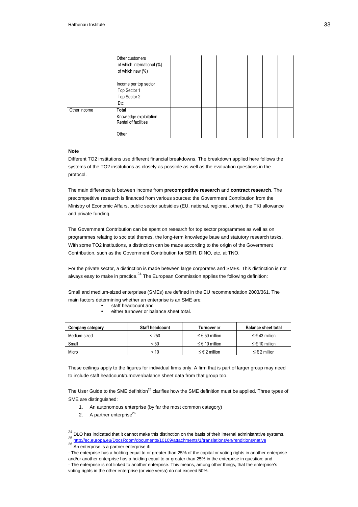|              | Other customers<br>of which international (%)<br>of which new (%) |  |  |  |  |
|--------------|-------------------------------------------------------------------|--|--|--|--|
|              | Income per top sector<br>Top Sector 1<br>Top Sector 2<br>Etc.     |  |  |  |  |
| Other income | Total<br>Knowledge exploitation<br>Rental of facilities<br>Other  |  |  |  |  |

#### **Note**

Different TO2 institutions use different financial breakdowns. The breakdown applied here follows the systems of the TO2 institutions as closely as possible as well as the evaluation questions in the protocol.

The main difference is between income from **precompetitive research** and **contract research**. The precompetitive research is financed from various sources: the Government Contribution from the Ministry of Economic Affairs, public sector subsidies (EU, national, regional, other), the TKI allowance and private funding.

The Government Contribution can be spent on research for top sector programmes as well as on programmes relating to societal themes, the long-term knowledge base and statutory research tasks. With some TO2 institutions, a distinction can be made according to the origin of the Government Contribution, such as the Government Contribution for SBIR, DINO, etc. at TNO.

For the private sector, a distinction is made between large corporates and SMEs. This distinction is not always easy to make in practice.<sup>24</sup> The European Commission applies the following definition:

Small and medium-sized enterprises (SMEs) are defined in the EU recommendation 2003/361. The main factors determining whether an enterprise is an SME are:

- staff headcount and
- either turnover or balance sheet total.

| Company category | <b>Staff headcount</b> | <b>Turnover</b> or        | <b>Balance sheet total</b> |
|------------------|------------------------|---------------------------|----------------------------|
| Medium-sized     | < 250                  | ≤ € 50 million            | ≤ € 43 million             |
| Small            | < 50                   | ≤ € 10 million            | ≤ € 10 million             |
| Micro            | ፡ 10                   | $\leq \epsilon$ 2 million | $\leq \epsilon$ 2 million  |

These ceilings apply to the figures for individual firms only. A firm that is part of larger group may need to include staff headcount/turnover/balance sheet data from that group too.

The User Guide to the SME definition<sup>25</sup> clarifies how the SME definition must be applied. Three types of SME are distinguished:

- 1. An autonomous enterprise (by far the most common category)
- 2. A partner enterprise<sup>26</sup>

 $24$  DLO has indicated that it cannot make this distinction on the basis of their internal administrative systems.

<sup>25</sup> http://ec.europa.eu/DocsRoom/documents/10109/attachments/1/translations/en/renditions/native

<sup>26</sup> An enterprise is a partner enterprise if:

<sup>-</sup> The enterprise has a holding equal to or greater than 25% of the capital or voting rights in another enterprise and/or another enterprise has a holding equal to or greater than 25% in the enterprise in question; and - The enterprise is not linked to another enterprise. This means, among other things, that the enterprise's voting rights in the other enterprise (or vice versa) do not exceed 50%.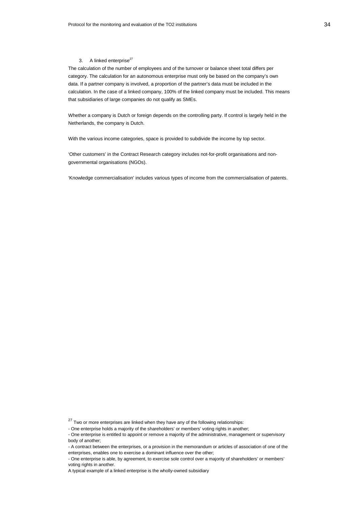#### 3. A linked enterprise $^{27}$

The calculation of the number of employees and of the turnover or balance sheet total differs per category. The calculation for an autonomous enterprise must only be based on the company's own data. If a partner company is involved, a proportion of the partner's data must be included in the calculation. In the case of a linked company, 100% of the linked company must be included. This means that subsidiaries of large companies do not qualify as SMEs.

Whether a company is Dutch or foreign depends on the controlling party. If control is largely held in the Netherlands, the company is Dutch.

With the various income categories, space is provided to subdivide the income by top sector.

'Other customers' in the Contract Research category includes not-for-profit organisations and nongovernmental organisations (NGOs).

'Knowledge commercialisation' includes various types of income from the commercialisation of patents.

 $27$  Two or more enterprises are linked when they have any of the following relationships:

<sup>-</sup> One enterprise holds a majority of the shareholders' or members' voting rights in another;

<sup>-</sup> One enterprise is entitled to appoint or remove a majority of the administrative, management or supervisory body of another;

<sup>-</sup> A contract between the enterprises, or a provision in the memorandum or articles of association of one of the enterprises, enables one to exercise a dominant influence over the other;

<sup>-</sup> One enterprise is able, by agreement, to exercise sole control over a majority of shareholders' or members' voting rights in another.

A typical example of a linked enterprise is the wholly-owned subsidiary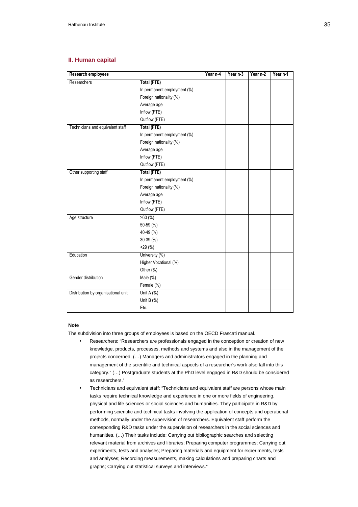## **II. Human capital**

| Research employees                  |                             | Year n-4 | Year n-3 | Year n-2 | Year n-1 |
|-------------------------------------|-----------------------------|----------|----------|----------|----------|
| Researchers                         | Total (FTE)                 |          |          |          |          |
|                                     | In permanent employment (%) |          |          |          |          |
|                                     | Foreign nationality (%)     |          |          |          |          |
|                                     | Average age                 |          |          |          |          |
|                                     | Inflow (FTE)                |          |          |          |          |
|                                     | Outflow (FTE)               |          |          |          |          |
| Technicians and equivalent staff    | <b>Total (FTE)</b>          |          |          |          |          |
|                                     | In permanent employment (%) |          |          |          |          |
|                                     | Foreign nationality (%)     |          |          |          |          |
|                                     | Average age                 |          |          |          |          |
|                                     | Inflow (FTE)                |          |          |          |          |
|                                     | Outflow (FTE)               |          |          |          |          |
| Other supporting staff              | Total (FTE)                 |          |          |          |          |
|                                     | In permanent employment (%) |          |          |          |          |
|                                     | Foreign nationality (%)     |          |          |          |          |
|                                     | Average age                 |          |          |          |          |
|                                     | Inflow (FTE)                |          |          |          |          |
|                                     | Outflow (FTE)               |          |          |          |          |
| Age structure                       | $>60$ (%)                   |          |          |          |          |
|                                     | 50-59 (%)                   |          |          |          |          |
|                                     | 40-49 (%)                   |          |          |          |          |
|                                     | 30-39 (%)                   |          |          |          |          |
|                                     | 29(%)                       |          |          |          |          |
| Education                           | University (%)              |          |          |          |          |
|                                     | Higher Vocational (%)       |          |          |          |          |
|                                     | Other (%)                   |          |          |          |          |
| Gender distribution                 | Male $(\%)$                 |          |          |          |          |
|                                     | Female (%)                  |          |          |          |          |
| Distribution by organisational unit | Unit A (%)                  |          |          |          |          |
|                                     | Unit B $(%)$                |          |          |          |          |
|                                     | Etc.                        |          |          |          |          |

#### **Note**

The subdivision into three groups of employees is based on the OECD Frascati manual.

- Researchers: "Researchers are professionals engaged in the conception or creation of new knowledge, products, processes, methods and systems and also in the management of the projects concerned. (…) Managers and administrators engaged in the planning and management of the scientific and technical aspects of a researcher's work also fall into this category." (…) Postgraduate students at the PhD level engaged in R&D should be considered as researchers."
- Technicians and equivalent staff: "Technicians and equivalent staff are persons whose main tasks require technical knowledge and experience in one or more fields of engineering, physical and life sciences or social sciences and humanities. They participate in R&D by performing scientific and technical tasks involving the application of concepts and operational methods, normally under the supervision of researchers. Equivalent staff perform the corresponding R&D tasks under the supervision of researchers in the social sciences and humanities. (…) Their tasks include: Carrying out bibliographic searches and selecting relevant material from archives and libraries; Preparing computer programmes; Carrying out experiments, tests and analyses; Preparing materials and equipment for experiments, tests and analyses; Recording measurements, making calculations and preparing charts and graphs; Carrying out statistical surveys and interviews."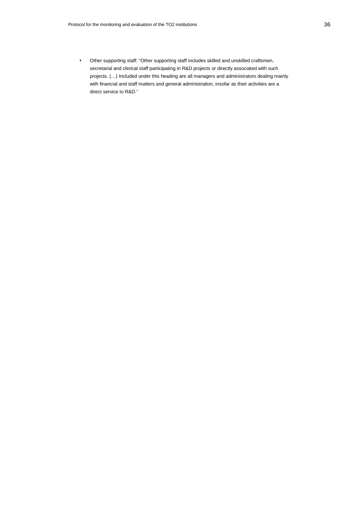• Other supporting staff: "Other supporting staff includes skilled and unskilled craftsmen, secretarial and clerical staff participating in R&D projects or directly associated with such projects. (…) Included under this heading are all managers and administrators dealing mainly with financial and staff matters and general administration, insofar as their activities are a direct service to R&D."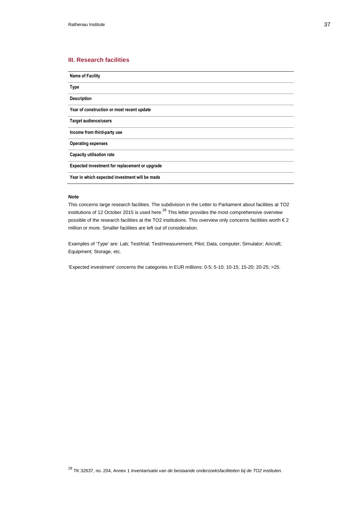# **III. Research facilities**

**Name of Facility Type Description Year of construction or most recent update Target audience/users Income from third-party use Operating expenses Capacity utilisation rate Expected investment for replacement or upgrade Year in which expected investment will be made** 

# **Note**

This concerns large research facilities. The subdivision in the Letter to Parliament about facilities at TO2 institutions of 12 October 2015 is used here.<sup>28</sup> This letter provides the most comprehensive overview possible of the research facilities at the TO2 institutions. This overview only concerns facilities worth € 2 million or more. Smaller facilities are left out of consideration.

Examples of 'Type' are: Lab; Test/trial; Test/measurement; Pilot; Data, computer; Simulator; Aircraft; Equipment; Storage, etc.

'Expected investment' concerns the categories in EUR millions: 0-5; 5-10; 10-15; 15-20; 20-25; >25.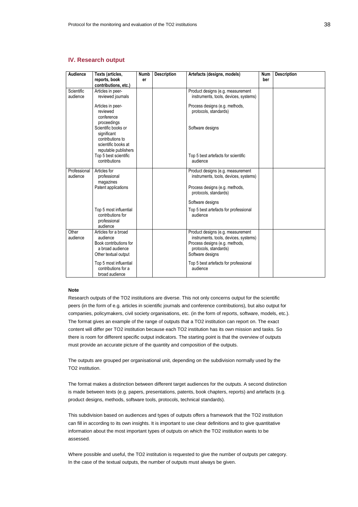# **IV. Research output**

| Audience                 | Texts (articles,<br>reports, book                                                                      | Numb<br>er | <b>Description</b> | Artefacts (designs, models)                                                                                                                               | <b>Num</b><br>ber | <b>Description</b> |
|--------------------------|--------------------------------------------------------------------------------------------------------|------------|--------------------|-----------------------------------------------------------------------------------------------------------------------------------------------------------|-------------------|--------------------|
| Scientific<br>audience   | contributions, etc.)<br>Articles in peer-<br>reviewed journals                                         |            |                    | Product designs (e.g. measurement<br>instruments, tools, devices, systems)                                                                                |                   |                    |
|                          | Articles in peer-<br>reviewed<br>conference<br>proceedings                                             |            |                    | Process designs (e.g. methods,<br>protocols, standards)                                                                                                   |                   |                    |
|                          | Scientific books or<br>significant<br>contributions to<br>scientific books at                          |            |                    | Software designs                                                                                                                                          |                   |                    |
|                          | reputable publishers<br>Top 5 best scientific<br>contributions                                         |            |                    | Top 5 best artefacts for scientific<br>audience                                                                                                           |                   |                    |
| Professional<br>audience | Articles for<br>professional<br>magazines                                                              |            |                    | Product designs (e.g. measurement<br>instruments, tools, devices, systems)                                                                                |                   |                    |
|                          | Patent applications                                                                                    |            |                    | Process designs (e.g. methods,<br>protocols, standards)                                                                                                   |                   |                    |
|                          |                                                                                                        |            |                    | Software designs                                                                                                                                          |                   |                    |
|                          | Top 5 most influential<br>contributions for<br>professional<br>audience                                |            |                    | Top 5 best artefacts for professional<br>audience                                                                                                         |                   |                    |
| Other<br>audience        | Articles for a broad<br>audience<br>Book contributions for<br>a broad audience<br>Other textual output |            |                    | Product designs (e.g. measurement<br>instruments, tools, devices, systems)<br>Process designs (e.g. methods,<br>protocols, standards)<br>Software designs |                   |                    |
|                          | Top 5 most influential<br>contributions for a<br>broad audience                                        |            |                    | Top 5 best artefacts for professional<br>audience                                                                                                         |                   |                    |

#### **Note**

Research outputs of the TO2 institutions are diverse. This not only concerns output for the scientific peers (in the form of e.g. articles in scientific journals and conference contributions), but also output for companies, policymakers, civil society organisations, etc. (in the form of reports, software, models, etc.). The format gives an example of the range of outputs that a TO2 institution can report on. The exact content will differ per TO2 institution because each TO2 institution has its own mission and tasks. So there is room for different specific output indicators. The starting point is that the overview of outputs must provide an accurate picture of the quantity and composition of the outputs.

The outputs are grouped per organisational unit, depending on the subdivision normally used by the TO2 institution.

The format makes a distinction between different target audiences for the outputs. A second distinction is made between texts (e.g. papers, presentations, patents, book chapters, reports) and artefacts (e.g. product designs, methods, software tools, protocols, technical standards).

This subdivision based on audiences and types of outputs offers a framework that the TO2 institution can fill in according to its own insights. It is important to use clear definitions and to give quantitative information about the most important types of outputs on which the TO2 institution wants to be assessed.

Where possible and useful, the TO2 institution is requested to give the number of outputs per category. In the case of the textual outputs, the number of outputs must always be given.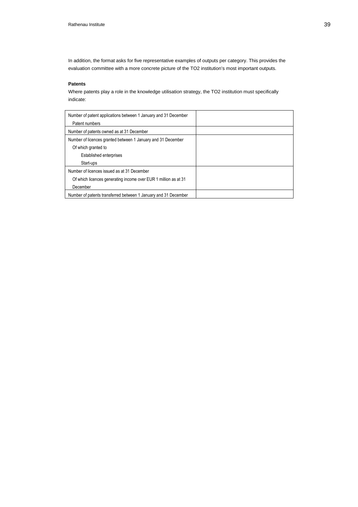In addition, the format asks for five representative examples of outputs per category. This provides the evaluation committee with a more concrete picture of the TO2 institution's most important outputs.

## **Patents**

Where patents play a role in the knowledge utilisation strategy, the TO2 institution must specifically indicate:

| Number of patent applications between 1 January and 31 December<br>Patent numbers |  |
|-----------------------------------------------------------------------------------|--|
| Number of patents owned as at 31 December                                         |  |
| Number of licences granted between 1 January and 31 December                      |  |
| Of which granted to                                                               |  |
| <b>Established enterprises</b>                                                    |  |
| Start-ups                                                                         |  |
| Number of licences issued as at 31 December                                       |  |
| Of which licences generating income over EUR 1 million as at 31                   |  |
| December                                                                          |  |
| Number of patents transferred between 1 January and 31 December                   |  |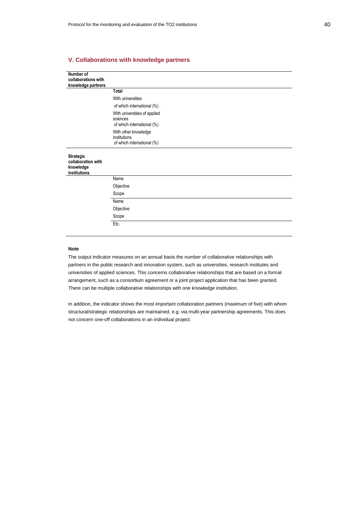# **V. Collaborations with knowledge partners**

| <b>Total</b>                                                           |
|------------------------------------------------------------------------|
| With universities                                                      |
| of which international (%)                                             |
| With universities of applied<br>sciences<br>of which international (%) |
| With other knowledge<br>institutions<br>of which international (%)     |
|                                                                        |
| Name                                                                   |
| Objective                                                              |
| Scope                                                                  |
| Name                                                                   |
| Objective                                                              |
| Scope                                                                  |
| Etc.                                                                   |
|                                                                        |

#### **Note**

The output indicator measures on an annual basis the number of collaborative relationships with partners in the public research and innovation system, such as universities, research institutes and universities of applied sciences. This concerns collaborative relationships that are based on a formal arrangement, such as a consortium agreement or a joint project application that has been granted. There can be multiple collaborative relationships with one knowledge institution.

In addition, the indicator shows the most important collaboration partners (maximum of five) with whom structural/strategic relationships are maintained, e.g. via multi-year partnership agreements. This does not concern one-off collaborations in an individual project.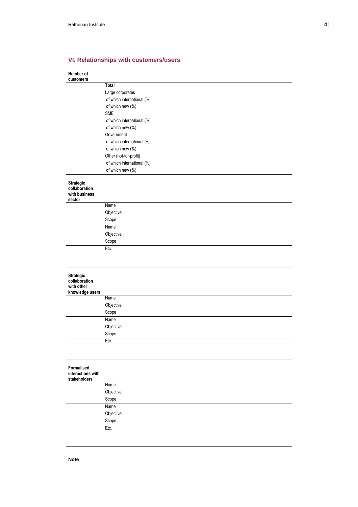# **VI. Relationships with customers/users**

#### **Number of customers**

|                                                       | <b>Total</b>               |
|-------------------------------------------------------|----------------------------|
|                                                       | Large corporates           |
|                                                       | of which international (%) |
|                                                       | of which new (%)           |
|                                                       | <b>SME</b>                 |
|                                                       | of which international (%) |
|                                                       | of which new (%)           |
|                                                       | Government                 |
|                                                       | of which international (%) |
|                                                       | of which new (%)           |
|                                                       | Other (not-for-profit)     |
|                                                       | of which international (%) |
|                                                       | of which new (%)           |
| Strategic<br>collaboration<br>with business<br>sector |                            |
|                                                       | Name                       |
|                                                       | Objective                  |
|                                                       | Scope                      |
|                                                       | Name                       |
|                                                       | Objective                  |
|                                                       | Scope                      |
|                                                       | Etc.                       |
| <b>Strategic</b>                                      |                            |
| collaboration<br>with other<br>knowledge users        |                            |
|                                                       | Name                       |
|                                                       | Objective                  |
|                                                       | Scope                      |
|                                                       | Name                       |
|                                                       | Objective                  |
|                                                       | Scope                      |
|                                                       | Etc.                       |
|                                                       |                            |
| Formalised<br>interactions with<br>stakeholders       |                            |
|                                                       | Name                       |
|                                                       | Objective                  |
|                                                       |                            |
|                                                       | Scope                      |
|                                                       | Name                       |
|                                                       | Objective                  |
|                                                       | Scope                      |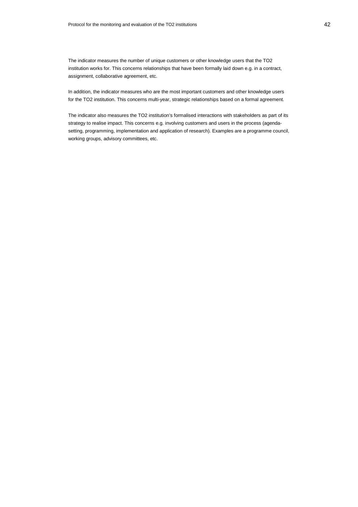The indicator measures the number of unique customers or other knowledge users that the TO2 institution works for. This concerns relationships that have been formally laid down e.g. in a contract, assignment, collaborative agreement, etc.

In addition, the indicator measures who are the most important customers and other knowledge users for the TO2 institution. This concerns multi-year, strategic relationships based on a formal agreement.

The indicator also measures the TO2 institution's formalised interactions with stakeholders as part of its strategy to realise impact. This concerns e.g. involving customers and users in the process (agendasetting, programming, implementation and application of research). Examples are a programme council, working groups, advisory committees, etc.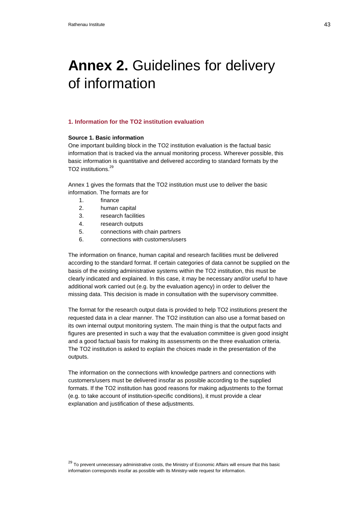# Annex 2. Guidelines for delivery of information

## **1. Information for the TO2 institution evaluation**

## **Source 1. Basic information**

One important building block in the TO2 institution evaluation is the factual basic information that is tracked via the annual monitoring process. Wherever possible, this basic information is quantitative and delivered according to standard formats by the TO<sub>2</sub> institutions.<sup>29</sup>

Annex 1 gives the formats that the TO2 institution must use to deliver the basic information. The formats are for

- 1. finance
- 2. human capital
- 3. research facilities
- 4. research outputs
- 5. connections with chain partners
- 6. connections with customers/users

The information on finance, human capital and research facilities must be delivered according to the standard format. If certain categories of data cannot be supplied on the basis of the existing administrative systems within the TO2 institution, this must be clearly indicated and explained. In this case, it may be necessary and/or useful to have additional work carried out (e.g. by the evaluation agency) in order to deliver the missing data. This decision is made in consultation with the supervisory committee.

The format for the research output data is provided to help TO2 institutions present the requested data in a clear manner. The TO2 institution can also use a format based on its own internal output monitoring system. The main thing is that the output facts and figures are presented in such a way that the evaluation committee is given good insight and a good factual basis for making its assessments on the three evaluation criteria. The TO2 institution is asked to explain the choices made in the presentation of the outputs.

The information on the connections with knowledge partners and connections with customers/users must be delivered insofar as possible according to the supplied formats. If the TO2 institution has good reasons for making adjustments to the format (e.g. to take account of institution-specific conditions), it must provide a clear explanation and justification of these adjustments.

<sup>29</sup> To prevent unnecessary administrative costs, the Ministry of Economic Affairs will ensure that this basic information corresponds insofar as possible with its Ministry-wide request for information.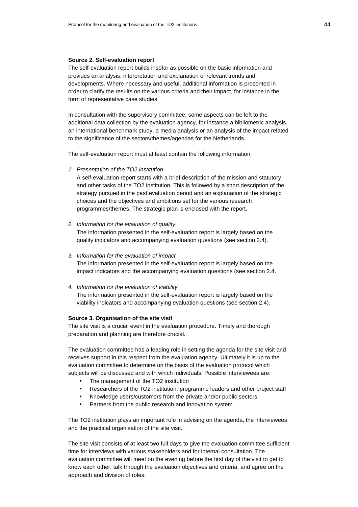#### **Source 2. Self-evaluation report**

The self-evaluation report builds insofar as possible on the basic information and provides an analysis, interpretation and explanation of relevant trends and developments. Where necessary and useful, additional information is presented in order to clarify the results on the various criteria and their impact, for instance in the form of representative case studies.

In consultation with the supervisory committee, some aspects can be left to the additional data collection by the evaluation agency, for instance a bibliometric analysis, an international benchmark study, a media analysis or an analysis of the impact related to the significance of the sectors/themes/agendas for the Netherlands.

The self-evaluation report must at least contain the following information:

1. Presentation of the TO2 institution

A self-evaluation report starts with a brief description of the mission and statutory and other tasks of the TO2 institution. This is followed by a short description of the strategy pursued in the past evaluation period and an explanation of the strategic choices and the objectives and ambitions set for the various research programmes/themes. The strategic plan is enclosed with the report.

- 2. Information for the evaluation of quality The information presented in the self-evaluation report is largely based on the quality indicators and accompanying evaluation questions (see section 2.4).
- 3. Information for the evaluation of impact The information presented in the self-evaluation report is largely based on the impact indicators and the accompanying evaluation questions (see section 2.4.
- 4. Information for the evaluation of viability The information presented in the self-evaluation report is largely based on the

viability indicators and accompanying evaluation questions (see section 2.4).

#### **Source 3. Organisation of the site visit**

The site visit is a crucial event in the evaluation procedure. Timely and thorough preparation and planning are therefore crucial.

The evaluation committee has a leading role in setting the agenda for the site visit and receives support in this respect from the evaluation agency. Ultimately it is up to the evaluation committee to determine on the basis of the evaluation protocol which subjects will be discussed and with which individuals. Possible interviewees are:

- The management of the TO2 institution
- Researchers of the TO2 institution, programme leaders and other project staff
- Knowledge users/customers from the private and/or public sectors
- Partners from the public research and innovation system

The TO2 institution plays an important role in advising on the agenda, the interviewees and the practical organisation of the site visit.

The site visit consists of at least two full days to give the evaluation committee sufficient time for interviews with various stakeholders and for internal consultation. The evaluation committee will meet on the evening before the first day of the visit to get to know each other, talk through the evaluation objectives and criteria, and agree on the approach and division of roles.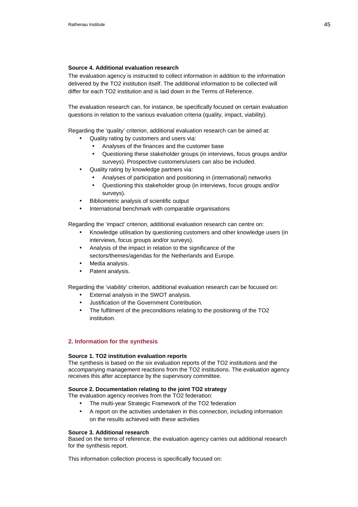## **Source 4. Additional evaluation research**

The evaluation agency is instructed to collect information in addition to the information delivered by the TO2 institution itself. The additional information to be collected will differ for each TO2 institution and is laid down in the Terms of Reference.

The evaluation research can, for instance, be specifically focused on certain evaluation questions in relation to the various evaluation criteria (quality, impact, viability).

Regarding the 'quality' criterion, additional evaluation research can be aimed at:

- Quality rating by customers and users via:
	- Analyses of the finances and the customer base
	- Questioning these stakeholder groups (in interviews, focus groups and/or surveys). Prospective customers/users can also be included.
- Quality rating by knowledge partners via:
	- Analyses of participation and positioning in (international) networks
	- Questioning this stakeholder group (in interviews, focus groups and/or surveys).
- Bibliometric analysis of scientific output
- International benchmark with comparable organisations

Regarding the 'impact' criterion, additional evaluation research can centre on:

- Knowledge utilisation by questioning customers and other knowledge users (in interviews, focus groups and/or surveys).
- Analysis of the impact in relation to the significance of the sectors/themes/agendas for the Netherlands and Europe.
- Media analysis.
- Patent analysis.

Regarding the 'viability' criterion, additional evaluation research can be focused on:

- External analysis in the SWOT analysis.
- Justification of the Government Contribution.
- The fulfilment of the preconditions relating to the positioning of the TO2 institution.

# **2. Information for the synthesis**

#### **Source 1. TO2 institution evaluation reports**

The synthesis is based on the six evaluation reports of the TO2 institutions and the accompanying management reactions from the TO2 institutions. The evaluation agency receives this after acceptance by the supervisory committee.

#### **Source 2. Documentation relating to the joint TO2 strategy**

The evaluation agency receives from the TO2 federation:

- The multi-year Strategic Framework of the TO2 federation
- A report on the activities undertaken in this connection, including information on the results achieved with these activities

#### **Source 3. Additional research**

Based on the terms of reference, the evaluation agency carries out additional research for the synthesis report.

This information collection process is specifically focused on: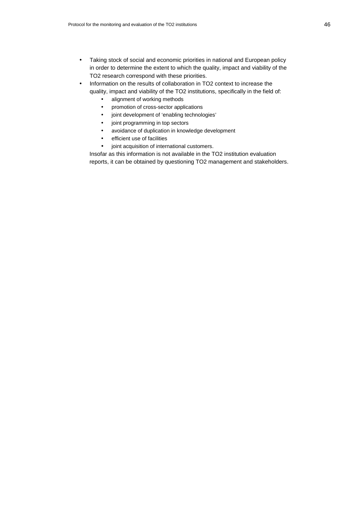- Taking stock of social and economic priorities in national and European policy in order to determine the extent to which the quality, impact and viability of the TO2 research correspond with these priorities.
- Information on the results of collaboration in TO2 context to increase the quality, impact and viability of the TO2 institutions, specifically in the field of:
	- alignment of working methods
	- promotion of cross-sector applications
	- joint development of 'enabling technologies'
	- joint programming in top sectors
	- avoidance of duplication in knowledge development
	- efficient use of facilities
	- joint acquisition of international customers.

Insofar as this information is not available in the TO2 institution evaluation reports, it can be obtained by questioning TO2 management and stakeholders.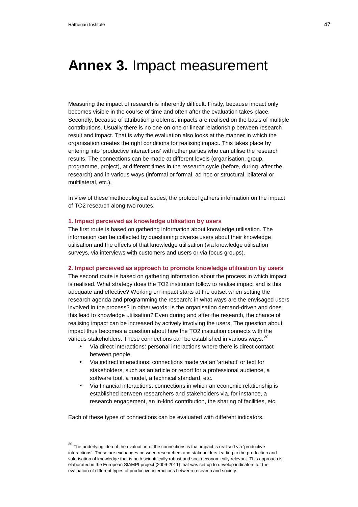# **Annex 3.** Impact measurement

Measuring the impact of research is inherently difficult. Firstly, because impact only becomes visible in the course of time and often after the evaluation takes place. Secondly, because of attribution problems: impacts are realised on the basis of multiple contributions. Usually there is no one-on-one or linear relationship between research result and impact. That is why the evaluation also looks at the manner in which the organisation creates the right conditions for realising impact. This takes place by entering into 'productive interactions' with other parties who can utilise the research results. The connections can be made at different levels (organisation, group, programme, project), at different times in the research cycle (before, during, after the research) and in various ways (informal or formal, ad hoc or structural, bilateral or multilateral, etc.).

In view of these methodological issues, the protocol gathers information on the impact of TO2 research along two routes.

### **1. Impact perceived as knowledge utilisation by users**

The first route is based on gathering information about knowledge utilisation. The information can be collected by questioning diverse users about their knowledge utilisation and the effects of that knowledge utilisation (via knowledge utilisation surveys, via interviews with customers and users or via focus groups).

#### **2. Impact perceived as approach to promote knowledge utilisation by users**

The second route is based on gathering information about the process in which impact is realised. What strategy does the TO2 institution follow to realise impact and is this adequate and effective? Working on impact starts at the outset when setting the research agenda and programming the research: in what ways are the envisaged users involved in the process? In other words: is the organisation demand-driven and does this lead to knowledge utilisation? Even during and after the research, the chance of realising impact can be increased by actively involving the users. The question about impact thus becomes a question about how the TO2 institution connects with the various stakeholders. These connections can be established in various ways:  $30$ 

- Via direct interactions: personal interactions where there is direct contact between people
- Via indirect interactions: connections made via an 'artefact' or text for stakeholders, such as an article or report for a professional audience, a software tool, a model, a technical standard, etc.
- Via financial interactions: connections in which an economic relationship is established between researchers and stakeholders via, for instance, a research engagement, an in-kind contribution, the sharing of facilities, etc.

Each of these types of connections can be evaluated with different indicators.

 $30$  The underlying idea of the evaluation of the connections is that impact is realised via 'productive interactions'. These are exchanges between researchers and stakeholders leading to the production and valorisation of knowledge that is both scientifically robust and socio-economically relevant. This approach is elaborated in the European SIAMPI-project (2009-2011) that was set up to develop indicators for the evaluation of different types of productive interactions between research and society.